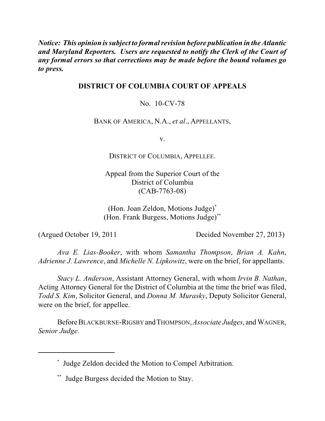*Notice: This opinion issubject to formalrevision before publication in the Atlantic and Maryland Reporters. Users are requested to notify the Clerk of the Court of any formal errors so that corrections may be made before the bound volumes go to press.*

# **DISTRICT OF COLUMBIA COURT OF APPEALS**

No. 10-CV-78

BANK OF AMERICA, N.A., *et al*., APPELLANTS,

v.

DISTRICT OF COLUMBIA, APPELLEE.

Appeal from the Superior Court of the District of Columbia (CAB-7763-08)

(Hon. Joan Zeldon, Motions Judge)\* (Hon. Frank Burgess, Motions Judge) \*\*

(Argued October 19, 2011 Decided November 27, 2013)

*Ava E. Lias-Booker*, with whom *Samantha Thompson*, *Brian A. Kahn*, *Adrienne J. Lawrence*, and *Michelle N. Lipkowitz*, were on the brief, for appellants.

*Stacy L. Anderson*, Assistant Attorney General, with whom *Irvin B. Nathan*, Acting Attorney General for the District of Columbia at the time the brief was filed, *Todd S. Kim*, Solicitor General, and *Donna M. Murasky*, Deputy Solicitor General, were on the brief, for appellee.

BeforeBLACKBURNE-RIGSBY andTHOMPSON,*Associate Judges*, and WAGNER, *Senior Judge*.

Judge Zeldon decided the Motion to Compel Arbitration. \*

Judge Burgess decided the Motion to Stay. \*\*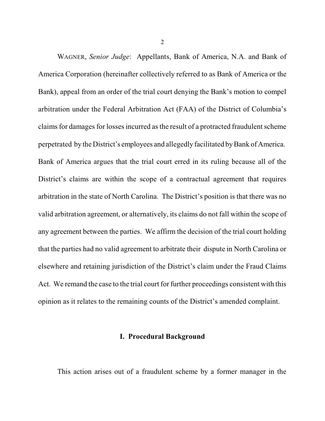WAGNER, *Senior Judge*: Appellants, Bank of America, N.A. and Bank of America Corporation (hereinafter collectively referred to as Bank of America or the Bank), appeal from an order of the trial court denying the Bank's motion to compel arbitration under the Federal Arbitration Act (FAA) of the District of Columbia's claims for damages for losses incurred as the result of a protracted fraudulent scheme perpetrated by the District's employees and allegedly facilitated by Bank of America. Bank of America argues that the trial court erred in its ruling because all of the District's claims are within the scope of a contractual agreement that requires arbitration in the state of North Carolina. The District's position is that there was no valid arbitration agreement, or alternatively, its claims do not fall within the scope of any agreement between the parties. We affirm the decision of the trial court holding that the parties had no valid agreement to arbitrate their dispute in North Carolina or elsewhere and retaining jurisdiction of the District's claim under the Fraud Claims Act. We remand the case to the trial court for further proceedings consistent with this opinion as it relates to the remaining counts of the District's amended complaint.

#### **I. Procedural Background**

This action arises out of a fraudulent scheme by a former manager in the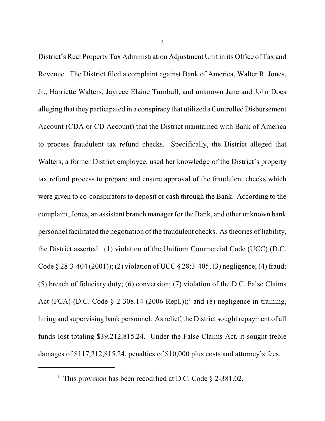District's Real Property Tax Administration Adjustment Unit in its Office of Tax and Revenue. The District filed a complaint against Bank of America, Walter R. Jones, Jr., Harriette Walters, Jayrece Elaine Turnbull, and unknown Jane and John Does alleging that they participated in a conspiracy that utilized a Controlled Disbursement Account (CDA or CD Account) that the District maintained with Bank of America to process fraudulent tax refund checks. Specifically, the District alleged that Walters, a former District employee, used her knowledge of the District's property tax refund process to prepare and ensure approval of the fraudulent checks which were given to co-conspirators to deposit or cash through the Bank. According to the complaint, Jones, an assistant branch manager for the Bank, and other unknown bank personnel facilitated the negotiation of the fraudulent checks. As theories of liability, the District asserted: (1) violation of the Uniform Commercial Code (UCC) (D.C. Code § 28:3-404 (2001)); (2) violation of UCC § 28:3-405; (3) negligence; (4) fraud; (5) breach of fiduciary duty; (6) conversion; (7) violation of the D.C. False Claims Act (FCA) (D.C. Code  $\S$  2-308.14 (2006 Repl.));<sup>1</sup> and (8) negligence in training, hiring and supervising bank personnel. As relief, the District sought repayment of all funds lost totaling \$39,212,815.24. Under the False Claims Act, it sought treble damages of \$117,212,815.24, penalties of \$10,000 plus costs and attorney's fees.

<sup>&</sup>lt;sup>1</sup> This provision has been recodified at D.C. Code  $\S$  2-381.02.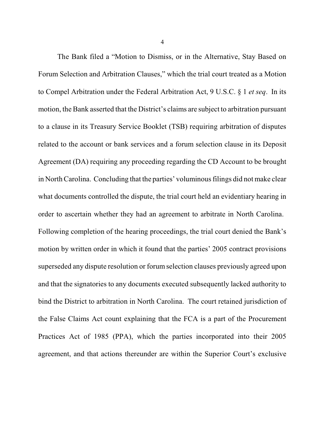The Bank filed a "Motion to Dismiss, or in the Alternative, Stay Based on Forum Selection and Arbitration Clauses," which the trial court treated as a Motion to Compel Arbitration under the Federal Arbitration Act, 9 U.S.C. § 1 *et seq*. In its motion, the Bank asserted that the District's claims are subject to arbitration pursuant to a clause in its Treasury Service Booklet (TSB) requiring arbitration of disputes related to the account or bank services and a forum selection clause in its Deposit Agreement (DA) requiring any proceeding regarding the CD Account to be brought in NorthCarolina. Concluding that the parties' voluminous filings did not make clear what documents controlled the dispute, the trial court held an evidentiary hearing in order to ascertain whether they had an agreement to arbitrate in North Carolina. Following completion of the hearing proceedings, the trial court denied the Bank's motion by written order in which it found that the parties' 2005 contract provisions superseded any dispute resolution or forum selection clauses previously agreed upon and that the signatories to any documents executed subsequently lacked authority to bind the District to arbitration in North Carolina. The court retained jurisdiction of the False Claims Act count explaining that the FCA is a part of the Procurement Practices Act of 1985 (PPA), which the parties incorporated into their 2005 agreement, and that actions thereunder are within the Superior Court's exclusive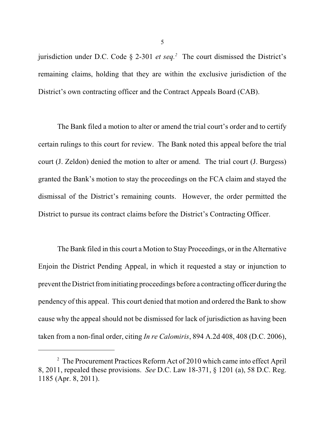jurisdiction under D.C. Code  $\S$  2-301 *et seq.*<sup>2</sup> The court dismissed the District's remaining claims, holding that they are within the exclusive jurisdiction of the District's own contracting officer and the Contract Appeals Board (CAB).

The Bank filed a motion to alter or amend the trial court's order and to certify certain rulings to this court for review. The Bank noted this appeal before the trial court (J. Zeldon) denied the motion to alter or amend. The trial court (J. Burgess) granted the Bank's motion to stay the proceedings on the FCA claim and stayed the dismissal of the District's remaining counts. However, the order permitted the District to pursue its contract claims before the District's Contracting Officer.

The Bank filed in this court a Motion to Stay Proceedings, or in the Alternative Enjoin the District Pending Appeal, in which it requested a stay or injunction to prevent the District from initiating proceedings before a contracting officer during the pendency of this appeal. This court denied that motion and ordered the Bank to show cause why the appeal should not be dismissed for lack of jurisdiction as having been taken from a non-final order, citing *In re Calomiris*, 894 A.2d 408, 408 (D.C. 2006),

 $2$  The Procurement Practices Reform Act of 2010 which came into effect April 8, 2011, repealed these provisions. *See* D.C. Law 18-371, § 1201 (a), 58 D.C. Reg. 1185 (Apr. 8, 2011).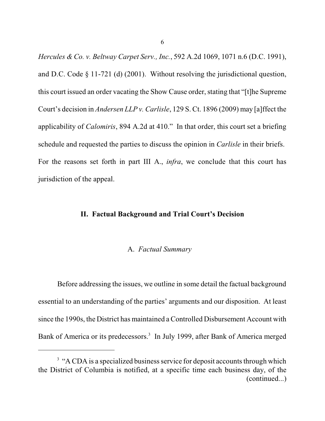*Hercules & Co. v. Beltway Carpet Serv., Inc.*, 592 A.2d 1069, 1071 n.6 (D.C. 1991), and D.C. Code § 11-721 (d) (2001). Without resolving the jurisdictional question, this court issued an order vacating the Show Cause order, stating that "[t]he Supreme Court's decision in *Andersen LLP v. Carlisle*, 129 S. Ct. 1896 (2009) may [a]ffect the applicability of *Calomiris*, 894 A.2d at 410." In that order, this court set a briefing schedule and requested the parties to discuss the opinion in *Carlisle* in their briefs. For the reasons set forth in part III A., *infra*, we conclude that this court has jurisdiction of the appeal.

### **II. Factual Background and Trial Court's Decision**

### A. *Factual Summary*

Before addressing the issues, we outline in some detail the factual background essential to an understanding of the parties' arguments and our disposition. At least since the 1990s, the District has maintained a Controlled Disbursement Account with Bank of America or its predecessors.<sup>3</sup> In July 1999, after Bank of America merged

 $3$  "A CDA is a specialized business service for deposit accounts through which the District of Columbia is notified, at a specific time each business day, of the (continued...)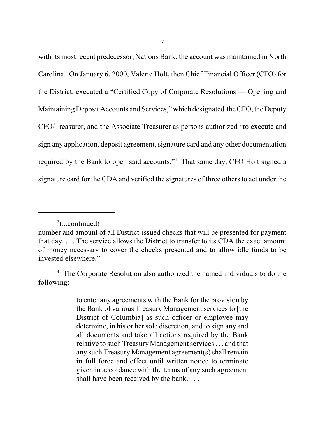with its most recent predecessor, Nations Bank, the account was maintained in North Carolina. On January 6, 2000, Valerie Holt, then Chief Financial Officer (CFO) for the District, executed a "Certified Copy of Corporate Resolutions — Opening and Maintaining Deposit Accounts and Services," which designated the CFO, the Deputy CFO/Treasurer, and the Associate Treasurer as persons authorized "to execute and sign any application, deposit agreement, signature card and any other documentation required by the Bank to open said accounts."<sup>4</sup> That same day, CFO Holt signed a signature card for the CDA and verified the signatures of three others to act under the

to enter any agreements with the Bank for the provision by the Bank of various Treasury Management services to [the District of Columbia] as such officer or employee may determine, in his or her sole discretion, and to sign any and all documents and take all actions required by the Bank relative to such Treasury Management services. . . and that any such Treasury Management agreement(s) shall remain in full force and effect until written notice to terminate given in accordance with the terms of any such agreement shall have been received by the bank. . . .

 $3$ (...continued)

number and amount of all District-issued checks that will be presented for payment that day. . . . The service allows the District to transfer to its CDA the exact amount of money necessary to cover the checks presented and to allow idle funds to be invested elsewhere."

<sup>&</sup>lt;sup>4</sup> The Corporate Resolution also authorized the named individuals to do the following: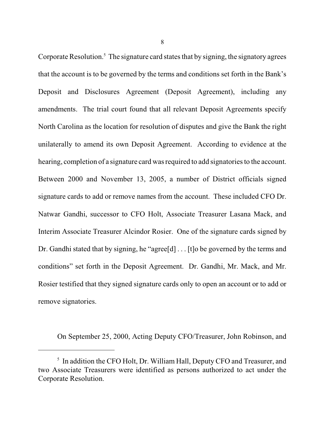Corporate Resolution.<sup>5</sup> The signature card states that by signing, the signatory agrees that the account is to be governed by the terms and conditions set forth in the Bank's Deposit and Disclosures Agreement (Deposit Agreement), including any amendments. The trial court found that all relevant Deposit Agreements specify North Carolina as the location for resolution of disputes and give the Bank the right unilaterally to amend its own Deposit Agreement. According to evidence at the hearing, completion of a signature card was required to add signatories to the account. Between 2000 and November 13, 2005, a number of District officials signed signature cards to add or remove names from the account. These included CFO Dr. Natwar Gandhi, successor to CFO Holt, Associate Treasurer Lasana Mack, and Interim Associate Treasurer Alcindor Rosier. One of the signature cards signed by Dr. Gandhi stated that by signing, he "agree[d] . . . [t]o be governed by the terms and conditions" set forth in the Deposit Agreement. Dr. Gandhi, Mr. Mack, and Mr. Rosier testified that they signed signature cards only to open an account or to add or remove signatories.

On September 25, 2000, Acting Deputy CFO/Treasurer, John Robinson, and

 $5$  In addition the CFO Holt, Dr. William Hall, Deputy CFO and Treasurer, and two Associate Treasurers were identified as persons authorized to act under the Corporate Resolution.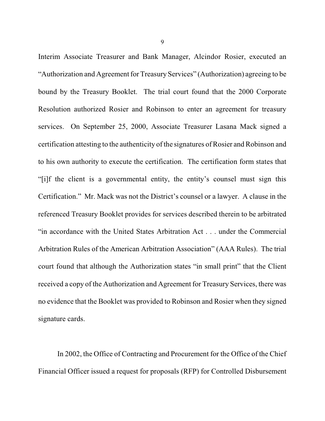Interim Associate Treasurer and Bank Manager, Alcindor Rosier, executed an "Authorization and Agreement for Treasury Services" (Authorization) agreeing to be bound by the Treasury Booklet. The trial court found that the 2000 Corporate Resolution authorized Rosier and Robinson to enter an agreement for treasury services. On September 25, 2000, Associate Treasurer Lasana Mack signed a certification attesting to the authenticity of the signatures of Rosier and Robinson and to his own authority to execute the certification. The certification form states that "[i]f the client is a governmental entity, the entity's counsel must sign this Certification." Mr. Mack was not the District's counsel or a lawyer. A clause in the referenced Treasury Booklet provides for services described therein to be arbitrated "in accordance with the United States Arbitration Act . . . under the Commercial Arbitration Rules of the American Arbitration Association" (AAA Rules). The trial court found that although the Authorization states "in small print" that the Client received a copy of the Authorization and Agreement for Treasury Services, there was no evidence that the Booklet was provided to Robinson and Rosier when they signed signature cards.

In 2002, the Office of Contracting and Procurement for the Office of the Chief Financial Officer issued a request for proposals (RFP) for Controlled Disbursement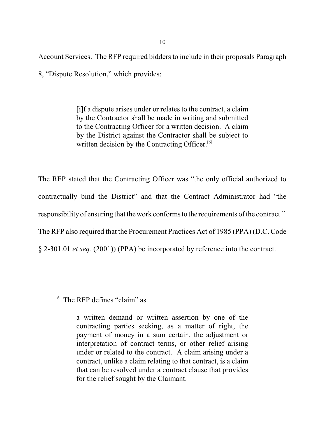Account Services. The RFP required bidders to include in their proposals Paragraph

8, "Dispute Resolution," which provides:

[i]f a dispute arises under or relates to the contract, a claim by the Contractor shall be made in writing and submitted to the Contracting Officer for a written decision. A claim by the District against the Contractor shall be subject to written decision by the Contracting Officer.<sup>[6]</sup>

The RFP stated that the Contracting Officer was "the only official authorized to contractually bind the District" and that the Contract Administrator had "the responsibility of ensuring that the work conforms to the requirements of the contract." The RFP also required that the Procurement Practices Act of 1985 (PPA) (D.C. Code § 2-301.01 *et seq.* (2001)) (PPA) be incorporated by reference into the contract.

 $6$  The RFP defines "claim" as

a written demand or written assertion by one of the contracting parties seeking, as a matter of right, the payment of money in a sum certain, the adjustment or interpretation of contract terms, or other relief arising under or related to the contract. A claim arising under a contract, unlike a claim relating to that contract, is a claim that can be resolved under a contract clause that provides for the relief sought by the Claimant.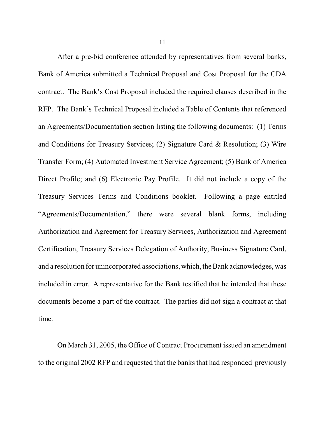After a pre-bid conference attended by representatives from several banks, Bank of America submitted a Technical Proposal and Cost Proposal for the CDA contract. The Bank's Cost Proposal included the required clauses described in the RFP. The Bank's Technical Proposal included a Table of Contents that referenced an Agreements/Documentation section listing the following documents: (1) Terms and Conditions for Treasury Services; (2) Signature Card & Resolution; (3) Wire Transfer Form; (4) Automated Investment Service Agreement; (5) Bank of America Direct Profile; and (6) Electronic Pay Profile. It did not include a copy of the Treasury Services Terms and Conditions booklet. Following a page entitled "Agreements/Documentation," there were several blank forms, including Authorization and Agreement for Treasury Services, Authorization and Agreement Certification, Treasury Services Delegation of Authority, Business Signature Card, and a resolution for unincorporated associations, which, the Bank acknowledges, was included in error. A representative for the Bank testified that he intended that these documents become a part of the contract. The parties did not sign a contract at that time.

On March 31, 2005, the Office of Contract Procurement issued an amendment to the original 2002 RFP and requested that the banks that had responded previously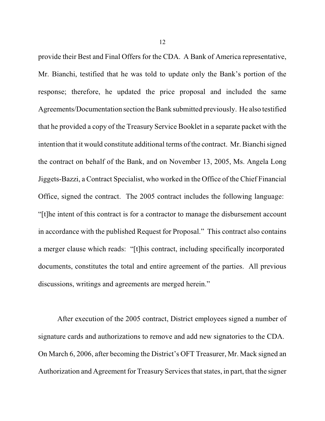provide their Best and Final Offers for the CDA. A Bank of America representative, Mr. Bianchi, testified that he was told to update only the Bank's portion of the response; therefore, he updated the price proposal and included the same Agreements/Documentation section the Bank submitted previously. He also testified that he provided a copy of the Treasury Service Booklet in a separate packet with the intention that it would constitute additional terms of the contract. Mr. Bianchi signed the contract on behalf of the Bank, and on November 13, 2005, Ms. Angela Long Jiggets-Bazzi, a Contract Specialist, who worked in the Office of the Chief Financial Office, signed the contract. The 2005 contract includes the following language: "[t]he intent of this contract is for a contractor to manage the disbursement account in accordance with the published Request for Proposal." This contract also contains a merger clause which reads: "[t]his contract, including specifically incorporated documents, constitutes the total and entire agreement of the parties. All previous discussions, writings and agreements are merged herein."

After execution of the 2005 contract, District employees signed a number of signature cards and authorizations to remove and add new signatories to the CDA. On March 6, 2006, after becoming the District's OFT Treasurer, Mr. Mack signed an Authorization and Agreement for Treasury Services that states, in part, that the signer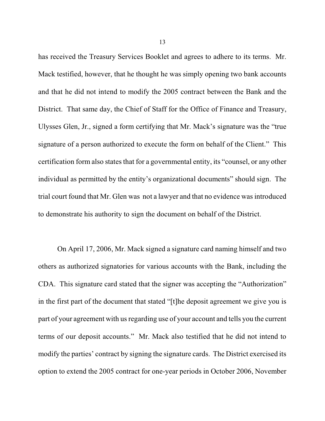has received the Treasury Services Booklet and agrees to adhere to its terms. Mr. Mack testified, however, that he thought he was simply opening two bank accounts and that he did not intend to modify the 2005 contract between the Bank and the District. That same day, the Chief of Staff for the Office of Finance and Treasury, Ulysses Glen, Jr., signed a form certifying that Mr. Mack's signature was the "true signature of a person authorized to execute the form on behalf of the Client." This certification form also states that for a governmental entity, its "counsel, or any other individual as permitted by the entity's organizational documents" should sign. The trial court found that Mr. Glen was not a lawyer and that no evidence was introduced to demonstrate his authority to sign the document on behalf of the District.

On April 17, 2006, Mr. Mack signed a signature card naming himself and two others as authorized signatories for various accounts with the Bank, including the CDA. This signature card stated that the signer was accepting the "Authorization" in the first part of the document that stated "[t]he deposit agreement we give you is part of your agreement with us regarding use of your account and tells you the current terms of our deposit accounts." Mr. Mack also testified that he did not intend to modify the parties' contract by signing the signature cards. The District exercised its option to extend the 2005 contract for one-year periods in October 2006, November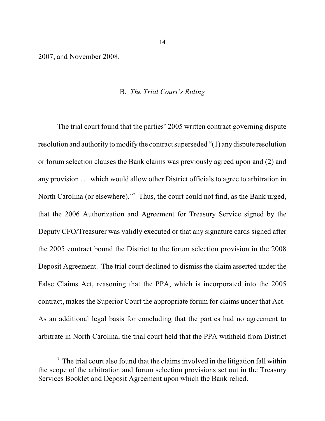2007, and November 2008.

### B. *The Trial Court's Ruling*

The trial court found that the parties' 2005 written contract governing dispute resolution and authority to modify the contract superseded "(1) any dispute resolution or forum selection clauses the Bank claims was previously agreed upon and (2) and any provision . . . which would allow other District officials to agree to arbitration in North Carolina (or elsewhere)."<sup>7</sup> Thus, the court could not find, as the Bank urged, that the 2006 Authorization and Agreement for Treasury Service signed by the Deputy CFO/Treasurer was validly executed or that any signature cards signed after the 2005 contract bound the District to the forum selection provision in the 2008 Deposit Agreement. The trial court declined to dismiss the claim asserted under the False Claims Act, reasoning that the PPA, which is incorporated into the 2005 contract, makes the Superior Court the appropriate forum for claims under that Act. As an additional legal basis for concluding that the parties had no agreement to arbitrate in North Carolina, the trial court held that the PPA withheld from District

 $\sigma$  The trial court also found that the claims involved in the litigation fall within the scope of the arbitration and forum selection provisions set out in the Treasury Services Booklet and Deposit Agreement upon which the Bank relied.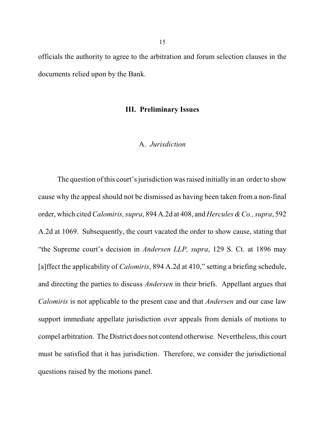officials the authority to agree to the arbitration and forum selection clauses in the documents relied upon by the Bank.

### **III. Preliminary Issues**

### A. *Jurisdiction*

The question of this court's jurisdiction wasraised initially in an order to show cause why the appeal should not be dismissed as having been taken from a non-final order, which cited *Calomiris, supra*, 894 A.2d at 408, and *Hercules &Co., supra*, 592 A.2d at 1069. Subsequently, the court vacated the order to show cause, stating that "the Supreme court's decision in *Andersen LLP, supra*, 129 S. Ct. at 1896 may [a]ffect the applicability of *Calomiris*, 894 A.2d at 410," setting a briefing schedule, and directing the parties to discuss *Andersen* in their briefs. Appellant argues that *Calomiris* is not applicable to the present case and that *Andersen* and our case law support immediate appellate jurisdiction over appeals from denials of motions to compel arbitration. The District does not contend otherwise. Nevertheless, this court must be satisfied that it has jurisdiction. Therefore, we consider the jurisdictional questions raised by the motions panel.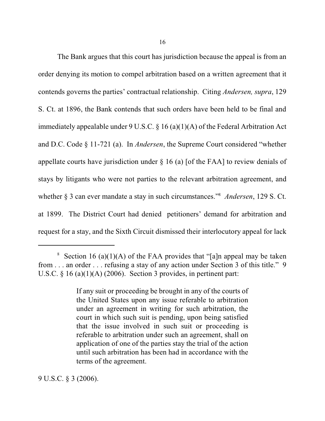The Bank argues that this court has jurisdiction because the appeal is from an order denying its motion to compel arbitration based on a written agreement that it contends governs the parties' contractual relationship. Citing *Andersen, supra*, 129 S. Ct. at 1896, the Bank contends that such orders have been held to be final and immediately appealable under 9 U.S.C. § 16 (a)(1)(A) of the Federal Arbitration Act and D.C. Code § 11-721 (a). In *Andersen*, the Supreme Court considered "whether appellate courts have jurisdiction under § 16 (a) [of the FAA] to review denials of stays by litigants who were not parties to the relevant arbitration agreement, and whether § 3 can ever mandate a stay in such circumstances."<sup>8</sup> Andersen, 129 S. Ct. at 1899. The District Court had denied petitioners' demand for arbitration and request for a stay, and the Sixth Circuit dismissed their interlocutory appeal for lack

9 U.S.C. § 3 (2006).

<sup>&</sup>lt;sup>8</sup> Section 16 (a)(1)(A) of the FAA provides that "[a]n appeal may be taken from . . . an order . . . refusing a stay of any action under Section 3 of this title." 9 U.S.C. § 16 (a)(1)(A) (2006). Section 3 provides, in pertinent part:

If any suit or proceeding be brought in any of the courts of the United States upon any issue referable to arbitration under an agreement in writing for such arbitration, the court in which such suit is pending, upon being satisfied that the issue involved in such suit or proceeding is referable to arbitration under such an agreement, shall on application of one of the parties stay the trial of the action until such arbitration has been had in accordance with the terms of the agreement.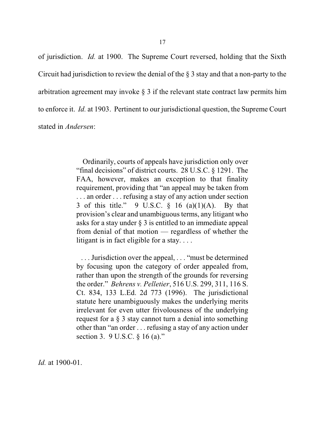of jurisdiction. *Id.* at 1900. The Supreme Court reversed, holding that the Sixth

Circuit had jurisdiction to review the denial of the § 3 stay and that a non-party to the

arbitration agreement may invoke § 3 if the relevant state contract law permits him

to enforce it. *Id.* at 1903. Pertinent to our jurisdictional question, the Supreme Court

stated in *Andersen*:

Ordinarily, courts of appeals have jurisdiction only over "final decisions" of district courts. 28 U.S.C. § 1291. The FAA, however, makes an exception to that finality requirement, providing that "an appeal may be taken from . . . an order . . . refusing a stay of any action under section 3 of this title." 9 U.S.C.  $\S$  16 (a)(1)(A). By that provision's clear and unambiguous terms, any litigant who asks for a stay under § 3 is entitled to an immediate appeal from denial of that motion — regardless of whether the litigant is in fact eligible for a stay. . . .

. . . Jurisdiction over the appeal, . . . "must be determined by focusing upon the category of order appealed from, rather than upon the strength of the grounds for reversing the order." *Behrens v. Pelletier*, 516 U.S. 299, 311, 116 S. Ct. 834, 133 L.Ed. 2d 773 (1996). The jurisdictional statute here unambiguously makes the underlying merits irrelevant for even utter frivolousness of the underlying request for a § 3 stay cannot turn a denial into something other than "an order . . . refusing a stay of any action under section 3. 9 U.S.C. § 16 (a)."

*Id.* at 1900-01.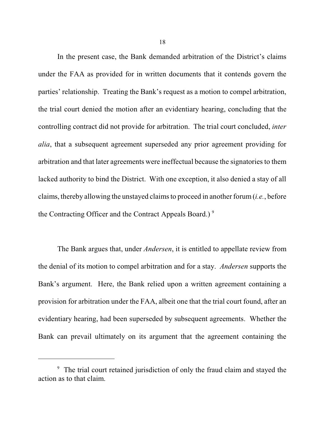In the present case, the Bank demanded arbitration of the District's claims under the FAA as provided for in written documents that it contends govern the parties' relationship. Treating the Bank's request as a motion to compel arbitration, the trial court denied the motion after an evidentiary hearing, concluding that the controlling contract did not provide for arbitration. The trial court concluded, *inter alia*, that a subsequent agreement superseded any prior agreement providing for arbitration and that later agreements were ineffectual because the signatories to them lacked authority to bind the District. With one exception, it also denied a stay of all claims, thereby allowing the unstayed claims to proceed in another forum (*i.e.*, before the Contracting Officer and the Contract Appeals Board.)<sup>9</sup>

The Bank argues that, under *Andersen*, it is entitled to appellate review from the denial of its motion to compel arbitration and for a stay. *Andersen* supports the Bank's argument. Here, the Bank relied upon a written agreement containing a provision for arbitration under the FAA, albeit one that the trial court found, after an evidentiary hearing, had been superseded by subsequent agreements. Whether the Bank can prevail ultimately on its argument that the agreement containing the

<sup>&</sup>lt;sup>9</sup> The trial court retained jurisdiction of only the fraud claim and stayed the action as to that claim.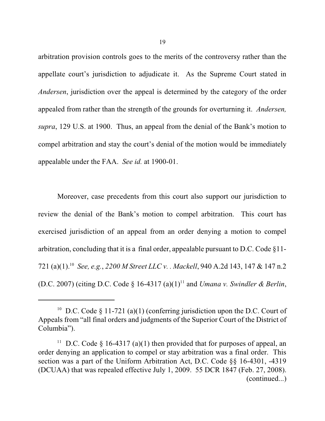arbitration provision controls goes to the merits of the controversy rather than the appellate court's jurisdiction to adjudicate it. As the Supreme Court stated in *Andersen*, jurisdiction over the appeal is determined by the category of the order appealed from rather than the strength of the grounds for overturning it. *Andersen, supra*, 129 U.S. at 1900. Thus, an appeal from the denial of the Bank's motion to compel arbitration and stay the court's denial of the motion would be immediately appealable under the FAA. *See id.* at 1900-01.

Moreover, case precedents from this court also support our jurisdiction to review the denial of the Bank's motion to compel arbitration. This court has exercised jurisdiction of an appeal from an order denying a motion to compel arbitration, concluding that it is a final order, appealable pursuant to D.C. Code §11- 721 (a)(1). *See, e.g.*, *2200 M Street LLC v. . Mackell*, 940 A.2d 143, 147 & 147 n.2 <sup>10</sup> (D.C. 2007) (citing D.C. Code  $\S$  16-4317 (a)(1)<sup>11</sup> and *Umana v. Swindler & Berlin*,

<sup>&</sup>lt;sup>10</sup> D.C. Code § 11-721 (a)(1) (conferring jurisdiction upon the D.C. Court of Appeals from "all final orders and judgments of the Superior Court of the District of Columbia").

<sup>&</sup>lt;sup>11</sup> D.C. Code § 16-4317 (a)(1) then provided that for purposes of appeal, an order denying an application to compel or stay arbitration was a final order. This section was a part of the Uniform Arbitration Act, D.C. Code §§ 16-4301, -4319 (DCUAA) that was repealed effective July 1, 2009. 55 DCR 1847 (Feb. 27, 2008). (continued...)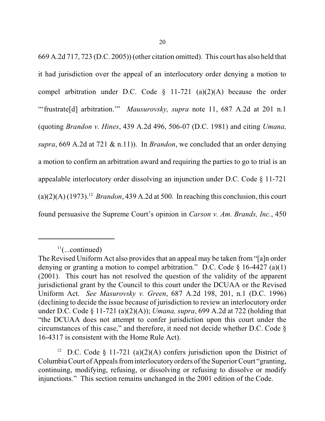669 A.2d 717, 723 (D.C. 2005)) (other citation omitted). This court has also held that it had jurisdiction over the appeal of an interlocutory order denying a motion to compel arbitration under D.C. Code  $\S$  11-721 (a)(2)(A) because the order "'frustrate[d] arbitration.'" *Mausurovsky, supra* note 11, 687 A.2d at 201 n.1 (quoting *Brandon v. Hines*, 439 A.2d 496, 506-07 (D.C. 1981) and citing *Umana, supra*, 669 A.2d at 721 & n.11)). In *Brandon*, we concluded that an order denying a motion to confirm an arbitration award and requiring the parties to go to trial is an appealable interlocutory order dissolving an injunction under D.C. Code § 11-721  $(a)(2)(A)$  (1973).<sup>12</sup> *Brandon*, 439 A.2d at 500. In reaching this conclusion, this court found persuasive the Supreme Court's opinion in *Carson v. Am. Brands, Inc.*, 450

<sup>12</sup> D.C. Code § 11-721 (a)(2)(A) confers jurisdiction upon the District of ColumbiaCourt of Appeals frominterlocutory orders ofthe Superior Court "granting, continuing, modifying, refusing, or dissolving or refusing to dissolve or modify injunctions." This section remains unchanged in the 2001 edition of the Code.

 $11$ (...continued)

The Revised Uniform Act also provides that an appeal may be taken from "[a]n order denying or granting a motion to compel arbitration." D.C. Code  $\S$  16-4427 (a)(1) (2001). This court has not resolved the question of the validity of the apparent jurisdictional grant by the Council to this court under the DCUAA or the Revised Uniform Act. *See Masurovsky v. Green*, 687 A.2d 198, 201, n.1 (D.C. 1996) (declining to decide the issue because of jurisdiction to review an interlocutory order under D.C. Code § 11-721 (a)(2)(A)); *Umana, supra*, 699 A.2d at 722 (holding that "the DCUAA does not attempt to confer jurisdiction upon this court under the circumstances of this case," and therefore, it need not decide whether D.C. Code § 16-4317 is consistent with the Home Rule Act).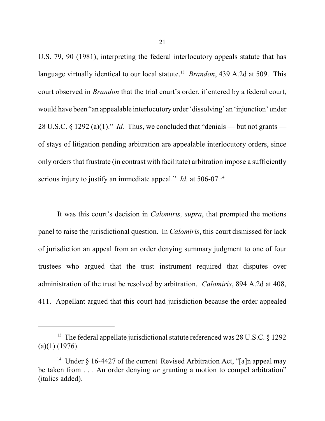U.S. 79, 90 (1981), interpreting the federal interlocutory appeals statute that has language virtually identical to our local statute.<sup>13</sup> *Brandon*, 439 A.2d at 509. This court observed in *Brandon* that the trial court's order, if entered by a federal court, would have been "an appealable interlocutory order 'dissolving' an 'injunction' under 28 U.S.C. § 1292 (a)(1)." *Id.* Thus, we concluded that "denials — but not grants of stays of litigation pending arbitration are appealable interlocutory orders, since only orders that frustrate (in contrast with facilitate) arbitration impose a sufficiently serious injury to justify an immediate appeal." *Id.* at 506-07.<sup>14</sup>

It was this court's decision in *Calomiris, supra*, that prompted the motions panel to raise the jurisdictional question. In *Calomiris*, this court dismissed for lack of jurisdiction an appeal from an order denying summary judgment to one of four trustees who argued that the trust instrument required that disputes over administration of the trust be resolved by arbitration. *Calomiris*, 894 A.2d at 408, 411. Appellant argued that this court had jurisdiction because the order appealed

<sup>&</sup>lt;sup>13</sup> The federal appellate jurisdictional statute referenced was 28 U.S.C.  $\S$  1292  $(a)(1)$  (1976).

<sup>&</sup>lt;sup>14</sup> Under § 16-4427 of the current Revised Arbitration Act, "[a]n appeal may be taken from . . . An order denying *or* granting a motion to compel arbitration" (italics added).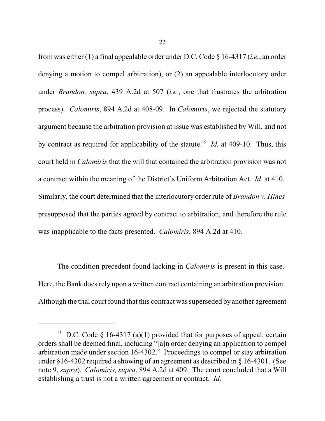from was either (1) a final appealable order under D.C. Code § 16-4317 (*i.e.*, an order denying a motion to compel arbitration), or (2) an appealable interlocutory order under *Brandon, supra*, 439 A.2d at 507 (*i.e.*, one that frustrates the arbitration process). *Calomiris*, 894 A.2d at 408-09. In *Calomiris*, we rejected the statutory argument because the arbitration provision at issue was established by Will, and not by contract as required for applicability of the statute.<sup>15</sup> *Id.* at 409-10. Thus, this court held in *Calomiris* that the will that contained the arbitration provision was not a contract within the meaning of the District's Uniform Arbitration Act. *Id*. at 410. Similarly, the court determined that the interlocutory order rule of *Brandon v. Hines* presupposed that the parties agreed by contract to arbitration, and therefore the rule was inapplicable to the facts presented. *Calomiris*, 894 A.2d at 410.

The condition precedent found lacking in *Calomiris* is present in this case. Here, the Bank does rely upon a written contract containing an arbitration provision. Although the trial court found that this contract was superseded by another agreement

<sup>&</sup>lt;sup>15</sup> D.C. Code § 16-4317 (a)(1) provided that for purposes of appeal, certain orders shall be deemed final, including "[a]n order denying an application to compel arbitration made under section 16-4302." Proceedings to compel or stay arbitration under §16-4302 required a showing of an agreement as described in § 16-4301. (See note 9, *supra*). *Calomiris, supra*, 894 A.2d at 409. The court concluded that a Will establishing a trust is not a written agreement or contract. *Id.*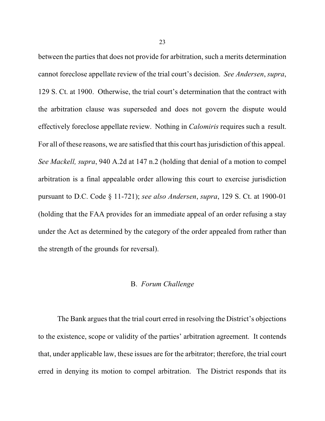between the parties that does not provide for arbitration, such a merits determination cannot foreclose appellate review of the trial court's decision. *See Andersen*, *supra*, 129 S. Ct. at 1900. Otherwise, the trial court's determination that the contract with the arbitration clause was superseded and does not govern the dispute would effectively foreclose appellate review. Nothing in *Calomiris* requires such a result. For all of these reasons, we are satisfied that this court has jurisdiction of this appeal. *See Mackell, supra*, 940 A.2d at 147 n.2 (holding that denial of a motion to compel arbitration is a final appealable order allowing this court to exercise jurisdiction pursuant to D.C. Code § 11-721); *see also Andersen*, *supra*, 129 S. Ct. at 1900-01 (holding that the FAA provides for an immediate appeal of an order refusing a stay under the Act as determined by the category of the order appealed from rather than the strength of the grounds for reversal).

# B. *Forum Challenge*

The Bank argues that the trial court erred in resolving the District's objections to the existence, scope or validity of the parties' arbitration agreement. It contends that, under applicable law, these issues are for the arbitrator; therefore, the trial court erred in denying its motion to compel arbitration. The District responds that its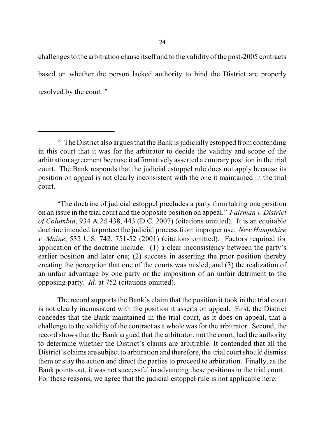challenges to the arbitration clause itself and to the validity of the post-2005 contracts based on whether the person lacked authority to bind the District are properly resolved by the court.<sup>16</sup>

"The doctrine of judicial estoppel precludes a party from taking one position on an issue in the trial court and the opposite position on appeal." *Fairman v. District of Columbia*, 934 A.2d 438, 443 (D.C. 2007) (citations omitted). It is an equitable doctrine intended to protect the judicial process from improper use. *New Hampshire v. Maine*, 532 U.S. 742, 751-52 (2001) (citations omitted). Factors required for application of the doctrine include: (1) a clear inconsistency between the party's earlier position and later one; (2) success in asserting the prior position thereby creating the perception that one of the courts was misled; and (3) the realization of an unfair advantage by one party or the imposition of an unfair detriment to the opposing party. *Id.* at 752 (citations omitted).

The record supports the Bank's claim that the position it took in the trial court is not clearly inconsistent with the position it asserts on appeal. First, the District concedes that the Bank maintained in the trial court, as it does on appeal, that a challenge to the validity of the contract as a whole was for the arbitrator. Second, the record shows that the Bank argued that the arbitrator, not the court, had the authority to determine whether the District's claims are arbitrable. It contended that all the District's claims are subject to arbitration and therefore, the trial court should dismiss them or stay the action and direct the parties to proceed to arbitration. Finally, as the Bank points out, it was not successful in advancing these positions in the trial court. For these reasons, we agree that the judicial estoppel rule is not applicable here.

 $16$  The District also argues that the Bank is judicially estopped from contending in this court that it was for the arbitrator to decide the validity and scope of the arbitration agreement because it affirmatively asserted a contrary position in the trial court. The Bank responds that the judicial estoppel rule does not apply because its position on appeal is not clearly inconsistent with the one it maintained in the trial court.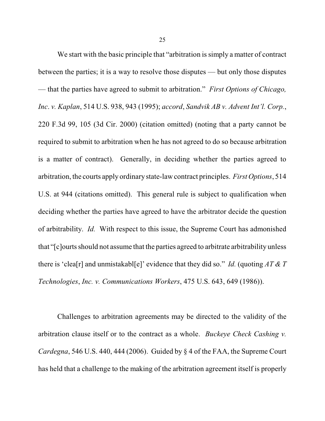We start with the basic principle that "arbitration is simply a matter of contract" between the parties; it is a way to resolve those disputes — but only those disputes — that the parties have agreed to submit to arbitration." *First Options of Chicago, Inc*. *v. Kaplan*, 514 U.S. 938, 943 (1995); *accord*, *Sandvik AB v. Advent Int'l. Corp.*, 220 F.3d 99, 105 (3d Cir. 2000) (citation omitted) (noting that a party cannot be required to submit to arbitration when he has not agreed to do so because arbitration is a matter of contract). Generally, in deciding whether the parties agreed to arbitration, the courts apply ordinary state-law contract principles. *First Options*, 514 U.S. at 944 (citations omitted). This general rule is subject to qualification when deciding whether the parties have agreed to have the arbitrator decide the question of arbitrability. *Id.* With respect to this issue, the Supreme Court has admonished that "[c]ourts should not assume that the parties agreed to arbitrate arbitrability unless there is 'clea[r] and unmistakabl[e]' evidence that they did so." *Id.* (quoting *AT & T Technologies*, *Inc. v. Communications Workers*, 475 U.S. 643, 649 (1986)).

Challenges to arbitration agreements may be directed to the validity of the arbitration clause itself or to the contract as a whole. *Buckeye Check Cashing v. Cardegna*, 546 U.S. 440, 444 (2006). Guided by § 4 of the FAA, the Supreme Court has held that a challenge to the making of the arbitration agreement itself is properly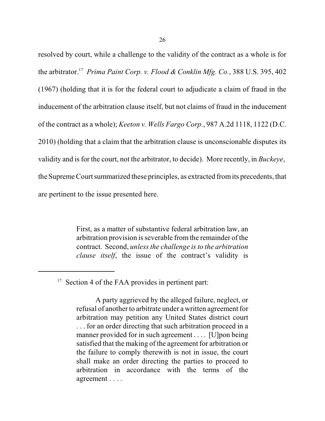resolved by court, while a challenge to the validity of the contract as a whole is for the arbitrator.<sup>17</sup> Prima Paint Corp. v. Flood & Conklin Mfg. Co., 388 U.S. 395, 402 (1967) (holding that it is for the federal court to adjudicate a claim of fraud in the inducement of the arbitration clause itself, but not claims of fraud in the inducement of the contract as a whole); *Keeton v. Wells Fargo Corp.*, 987 A.2d 1118, 1122 (D.C. 2010) (holding that a claim that the arbitration clause is unconscionable disputes its validity and isfor the court, not the arbitrator, to decide). More recently, in *Buckeye*, the Supreme Court summarized these principles, as extracted fromits precedents, that are pertinent to the issue presented here.

> First, as a matter of substantive federal arbitration law, an arbitration provision is severable from the remainder of the contract. Second, *unlessthe challenge isto the arbitration clause itself*, the issue of the contract's validity is

<sup>&</sup>lt;sup>17</sup> Section 4 of the FAA provides in pertinent part:

A party aggrieved by the alleged failure, neglect, or refusal of another to arbitrate under a written agreement for arbitration may petition any United States district court . . . for an order directing that such arbitration proceed in a manner provided for in such agreement . . . . [U] pon being satisfied that the making of the agreement for arbitration or the failure to comply therewith is not in issue, the court shall make an order directing the parties to proceed to arbitration in accordance with the terms of the agreement . . . .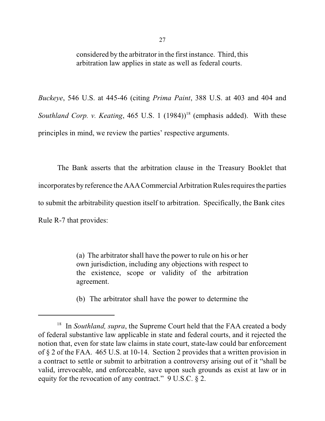considered by the arbitrator in the first instance. Third, this arbitration law applies in state as well as federal courts.

*Buckeye*, 546 U.S. at 445-46 (citing *Prima Paint*, 388 U.S. at 403 and 404 and Southland Corp. v. Keating, 465 U.S. 1 (1984))<sup>18</sup> (emphasis added). With these principles in mind, we review the parties' respective arguments.

The Bank asserts that the arbitration clause in the Treasury Booklet that incorporates by reference the AAA Commercial Arbitration Rules requires the parties to submit the arbitrability question itself to arbitration. Specifically, the Bank cites Rule R-7 that provides:

> (a) The arbitrator shall have the power to rule on his or her own jurisdiction, including any objections with respect to the existence, scope or validity of the arbitration agreement.

> (b) The arbitrator shall have the power to determine the

<sup>&</sup>lt;sup>18</sup> In *Southland, supra*, the Supreme Court held that the FAA created a body of federal substantive law applicable in state and federal courts, and it rejected the notion that, even for state law claims in state court, state-law could bar enforcement of § 2 of the FAA. 465 U.S. at 10-14. Section 2 provides that a written provision in a contract to settle or submit to arbitration a controversy arising out of it "shall be valid, irrevocable, and enforceable, save upon such grounds as exist at law or in equity for the revocation of any contract." 9 U.S.C. § 2.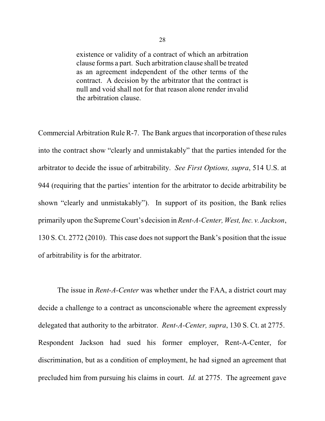existence or validity of a contract of which an arbitration clause forms a part. Such arbitration clause shall be treated as an agreement independent of the other terms of the contract. A decision by the arbitrator that the contract is null and void shall not for that reason alone render invalid the arbitration clause.

Commercial Arbitration Rule R-7. The Bank argues that incorporation of these rules into the contract show "clearly and unmistakably" that the parties intended for the arbitrator to decide the issue of arbitrability. *See First Options, supra*, 514 U.S. at 944 (requiring that the parties' intention for the arbitrator to decide arbitrability be shown "clearly and unmistakably"). In support of its position, the Bank relies primarily upon theSupreme Court's decision in *Rent-A-Center, West, Inc. v. Jackson*, 130 S. Ct. 2772 (2010). This case does not support the Bank's position that the issue of arbitrability is for the arbitrator.

The issue in *Rent-A-Center* was whether under the FAA, a district court may decide a challenge to a contract as unconscionable where the agreement expressly delegated that authority to the arbitrator. *Rent-A-Center, supra*, 130 S. Ct. at 2775. Respondent Jackson had sued his former employer, Rent-A-Center, for discrimination, but as a condition of employment, he had signed an agreement that precluded him from pursuing his claims in court. *Id.* at 2775. The agreement gave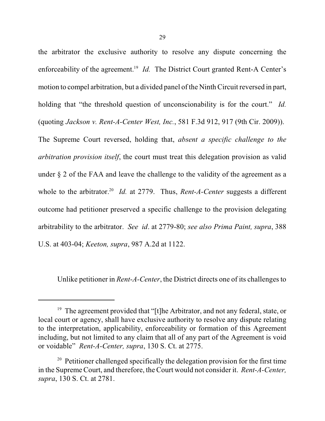the arbitrator the exclusive authority to resolve any dispute concerning the enforceability of the agreement.<sup>19</sup> *Id.* The District Court granted Rent-A Center's motion to compel arbitration, but a divided panel of the Ninth Circuit reversed in part, holding that "the threshold question of unconscionability is for the court." *Id.* (quoting *Jackson v. Rent-A-Center West, Inc.*, 581 F.3d 912, 917 (9th Cir. 2009)). The Supreme Court reversed, holding that, *absent a specific challenge to the arbitration provision itself*, the court must treat this delegation provision as valid

under § 2 of the FAA and leave the challenge to the validity of the agreement as a whole to the arbitrator.<sup>20</sup> *Id.* at 2779. Thus, *Rent-A-Center* suggests a different outcome had petitioner preserved a specific challenge to the provision delegating arbitrability to the arbitrator. *See id*. at 2779-80; *see also Prima Paint, supra*, 388 U.S. at 403-04; *Keeton, supra*, 987 A.2d at 1122.

Unlike petitioner in *Rent-A-Center*, the District directs one of its challenges to

<sup>&</sup>lt;sup>19</sup> The agreement provided that "[t]he Arbitrator, and not any federal, state, or local court or agency, shall have exclusive authority to resolve any dispute relating to the interpretation, applicability, enforceability or formation of this Agreement including, but not limited to any claim that all of any part of the Agreement is void or voidable" *Rent-A-Center, supra*, 130 S. Ct. at 2775.

 $20$  Petitioner challenged specifically the delegation provision for the first time in the Supreme Court, and therefore, the Court would not consider it. *Rent-A-Center, supra*, 130 S. Ct. at 2781.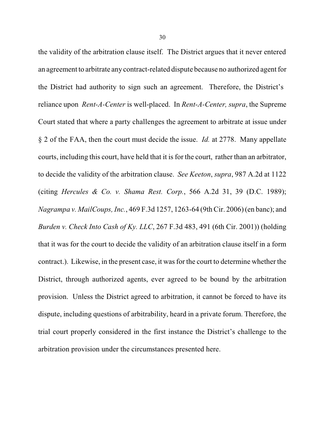the validity of the arbitration clause itself. The District argues that it never entered an agreement to arbitrate any contract-related dispute because no authorized agent for the District had authority to sign such an agreement. Therefore, the District's reliance upon *Rent-A-Center* is well-placed. In *Rent-A-Center, supra*, the Supreme Court stated that where a party challenges the agreement to arbitrate at issue under § 2 of the FAA, then the court must decide the issue. *Id.* at 2778. Many appellate courts, including this court, have held that it is for the court, rather than an arbitrator, to decide the validity of the arbitration clause. *See Keeton*, *supra*, 987 A.2d at 1122 (citing *Hercules & Co. v. Shama Rest. Corp.*, 566 A.2d 31, 39 (D.C. 1989); *Nagrampa v. MailCoups, Inc.*, 469 F.3d 1257, 1263-64 (9th Cir. 2006) (en banc); and *Burden v. Check Into Cash of Ky. LLC*, 267 F.3d 483, 491 (6th Cir. 2001)) (holding that it was for the court to decide the validity of an arbitration clause itself in a form contract.). Likewise, in the present case, it was for the court to determine whether the District, through authorized agents, ever agreed to be bound by the arbitration provision. Unless the District agreed to arbitration, it cannot be forced to have its dispute, including questions of arbitrability, heard in a private forum. Therefore, the trial court properly considered in the first instance the District's challenge to the arbitration provision under the circumstances presented here.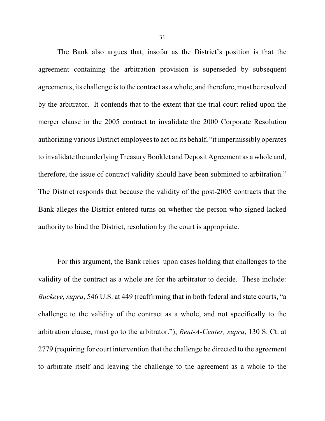The Bank also argues that, insofar as the District's position is that the agreement containing the arbitration provision is superseded by subsequent agreements, its challenge isto the contract as a whole, and therefore, must be resolved by the arbitrator. It contends that to the extent that the trial court relied upon the merger clause in the 2005 contract to invalidate the 2000 Corporate Resolution authorizing various District employees to act on its behalf, "it impermissibly operates to invalidate the underlying TreasuryBooklet and Deposit Agreement as a whole and, therefore, the issue of contract validity should have been submitted to arbitration." The District responds that because the validity of the post-2005 contracts that the Bank alleges the District entered turns on whether the person who signed lacked authority to bind the District, resolution by the court is appropriate.

For this argument, the Bank relies upon cases holding that challenges to the validity of the contract as a whole are for the arbitrator to decide. These include: *Buckeye, supra*, 546 U.S. at 449 (reaffirming that in both federal and state courts, "a challenge to the validity of the contract as a whole, and not specifically to the arbitration clause, must go to the arbitrator."); *Rent-A-Center, supra*, 130 S. Ct. at 2779 (requiring for court intervention that the challenge be directed to the agreement to arbitrate itself and leaving the challenge to the agreement as a whole to the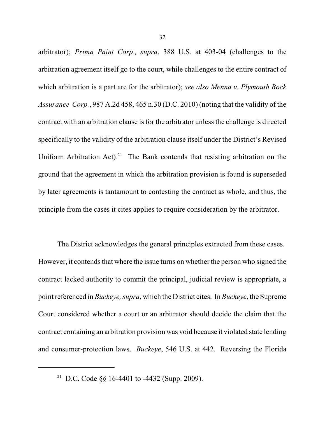arbitrator); *Prima Paint Corp*.*, supra*, 388 U.S. at 403-04 (challenges to the arbitration agreement itself go to the court, while challenges to the entire contract of which arbitration is a part are for the arbitrator); *see also Menna v. Plymouth Rock Assurance Corp.*, 987 A.2d 458, 465 n.30 (D.C. 2010) (noting that the validity of the contract with an arbitration clause is for the arbitrator unless the challenge is directed specifically to the validity of the arbitration clause itself under the District's Revised Uniform Arbitration Act).<sup>21</sup> The Bank contends that resisting arbitration on the ground that the agreement in which the arbitration provision is found is superseded by later agreements is tantamount to contesting the contract as whole, and thus, the principle from the cases it cites applies to require consideration by the arbitrator.

The District acknowledges the general principles extracted from these cases. However, it contends that where the issue turns on whether the person who signed the contract lacked authority to commit the principal, judicial review is appropriate, a point referenced in *Buckeye, supra*, which the District cites. In *Buckeye*, the Supreme Court considered whether a court or an arbitrator should decide the claim that the contract containing an arbitration provision was void because it violated state lending and consumer-protection laws. *Buckeye*, 546 U.S. at 442. Reversing the Florida

<sup>&</sup>lt;sup>21</sup> D.C. Code §§ 16-4401 to -4432 (Supp. 2009).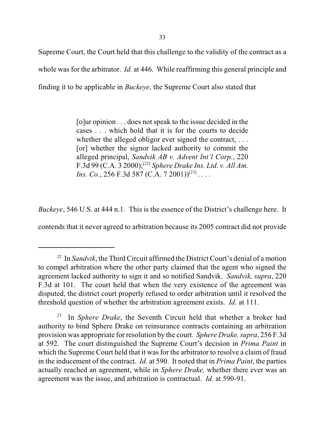Supreme Court, the Court held that this challenge to the validity of the contract as a whole was for the arbitrator. *Id.* at 446. While reaffirming this general principle and finding it to be applicable in *Buckeye*, the Supreme Court also stated that

> [o]ur opinion . . . does not speak to the issue decided in the cases . . . which hold that it is for the courts to decide whether the alleged obligor ever signed the contract, ... [or] whether the signor lacked authority to commit the alleged principal, *Sandvik AB v. Advent Int'l Corp.*, 220 F.3d 99 (C.A. 3 2000); *Sphere Drake Ins. Ltd. v. All Am.* [22] *Ins. Co.*, 256 F.3d 587 (C.A. 7 2001))<sup>[23]</sup>....

*Buckeye*, 546 U.S. at 444 n.1. This is the essence of the District's challenge here. It

contends that it never agreed to arbitration because its 2005 contract did not provide

<sup>&</sup>lt;sup>22</sup> In *Sandvik*, the Third Circuit affirmed the District Court's denial of a motion to compel arbitration where the other party claimed that the agent who signed the agreement lacked authority to sign it and so notified Sandvik. *Sandvik, supra*, 220 F.3d at 101. The court held that when the very existence of the agreement was disputed, the district court properly refused to order arbitration until it resolved the threshold question of whether the arbitration agreement exists. *Id.* at 111.

In *Sphere Drake*, the Seventh Circuit held that whether a broker had 23 authority to bind Sphere Drake on reinsurance contracts containing an arbitration provision was appropriate for resolution by the court. *Sphere Drake, supra*, 256 F.3d at 592. The court distinguished the Supreme Court's decision in *Prima Paint* in which the Supreme Court held that it was for the arbitrator to resolve a claim of fraud in the inducement of the contract. *Id.* at 590. It noted that in *Prima Paint*, the parties actually reached an agreement, while in *Sphere Drake,* whether there ever was an agreement was the issue, and arbitration is contractual. *Id.* at 590-91.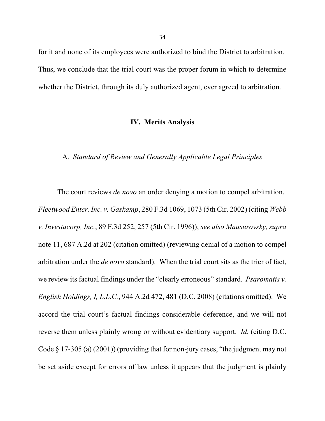for it and none of its employees were authorized to bind the District to arbitration. Thus, we conclude that the trial court was the proper forum in which to determine whether the District, through its duly authorized agent, ever agreed to arbitration.

# **IV. Merits Analysis**

# A. *Standard of Review and Generally Applicable Legal Principles*

The court reviews *de novo* an order denying a motion to compel arbitration. *Fleetwood Enter. Inc. v. Gaskamp*, 280 F.3d 1069, 1073 (5th Cir. 2002) (citing *Webb v. Investacorp, Inc.*, 89 F.3d 252, 257 (5th Cir. 1996)); *see also Mausurovsky, supra* note 11, 687 A.2d at 202 (citation omitted) (reviewing denial of a motion to compel arbitration under the *de novo* standard). When the trial court sits as the trier of fact, we review its factual findings under the "clearly erroneous" standard. *Psaromatis v. English Holdings, I, L.L.C.*, 944 A.2d 472, 481 (D.C. 2008) (citations omitted). We accord the trial court's factual findings considerable deference, and we will not reverse them unless plainly wrong or without evidentiary support. *Id.* (citing D.C. Code § 17-305 (a) (2001)) (providing that for non-jury cases, "the judgment may not be set aside except for errors of law unless it appears that the judgment is plainly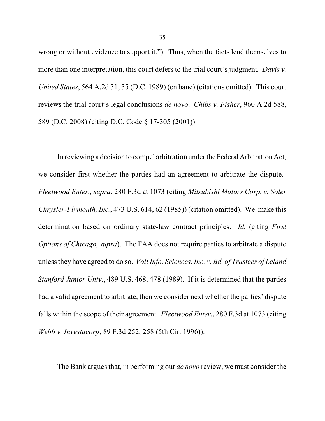wrong or without evidence to support it."). Thus, when the facts lend themselves to more than one interpretation, this court defers to the trial court's judgment*. Davis v. United States*, 564 A.2d 31, 35 (D.C. 1989) (en banc) (citations omitted). This court reviews the trial court's legal conclusions *de novo*. *Chibs v. Fisher*, 960 A.2d 588, 589 (D.C. 2008) (citing D.C. Code § 17-305 (2001)).

In reviewing a decision to compel arbitration under the Federal Arbitration Act, we consider first whether the parties had an agreement to arbitrate the dispute. *Fleetwood Enter., supra*, 280 F.3d at 1073 (citing *Mitsubishi Motors Corp. v. Soler Chrysler-Plymouth, Inc.*, 473 U.S. 614, 62 (1985)) (citation omitted). We make this determination based on ordinary state-law contract principles. *Id.* (citing *First Options of Chicago, supra*). The FAA does not require parties to arbitrate a dispute unlessthey have agreed to do so. *Volt Info. Sciences, Inc. v. Bd. of Trustees of Leland Stanford Junior Univ.*, 489 U.S. 468, 478 (1989). If it is determined that the parties had a valid agreement to arbitrate, then we consider next whether the parties' dispute falls within the scope of their agreement. *Fleetwood Enter*., 280 F.3d at 1073 (citing *Webb v. Investacorp*, 89 F.3d 252, 258 (5th Cir. 1996)).

The Bank argues that, in performing our *de novo* review, we must consider the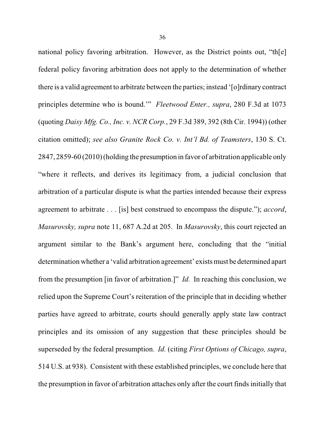national policy favoring arbitration. However, as the District points out, "th[e] federal policy favoring arbitration does not apply to the determination of whether there is a valid agreement to arbitrate between the parties; instead '[o]rdinary contract principles determine who is bound.'" *Fleetwood Enter., supra*, 280 F.3d at 1073 (quoting *Daisy Mfg. Co., Inc. v. NCR Corp.*, 29 F.3d 389, 392 (8th Cir. 1994)) (other citation omitted); *see also Granite Rock Co. v. Int'l Bd. of Teamsters*, 130 S. Ct. 2847, 2859-60 (2010)(holding the presumption in favor of arbitration applicable only "where it reflects, and derives its legitimacy from, a judicial conclusion that arbitration of a particular dispute is what the parties intended because their express agreement to arbitrate . . . [is] best construed to encompass the dispute."); *accord*, *Masurovsky, supra* note 11, 687 A.2d at 205. In *Masurovsky*, this court rejected an argument similar to the Bank's argument here, concluding that the "initial determination whether a 'valid arbitration agreement' existsmust be determined apart from the presumption [in favor of arbitration.]" *Id.* In reaching this conclusion, we relied upon the Supreme Court's reiteration of the principle that in deciding whether parties have agreed to arbitrate, courts should generally apply state law contract principles and its omission of any suggestion that these principles should be superseded by the federal presumption. *Id.* (citing *First Options of Chicago, supra*, 514 U.S. at 938). Consistent with these established principles, we conclude here that the presumption in favor of arbitration attaches only after the court finds initially that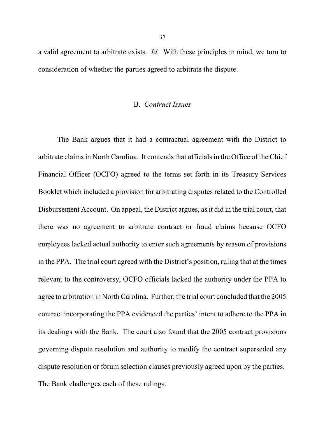a valid agreement to arbitrate exists. *Id.* With these principles in mind, we turn to consideration of whether the parties agreed to arbitrate the dispute.

### B. *Contract Issues*

The Bank argues that it had a contractual agreement with the District to arbitrate claims in North Carolina. It contends that officials in the Office of the Chief Financial Officer (OCFO) agreed to the terms set forth in its Treasury Services Booklet which included a provision for arbitrating disputes related to the Controlled Disbursement Account. On appeal, the District argues, as it did in the trial court, that there was no agreement to arbitrate contract or fraud claims because OCFO employees lacked actual authority to enter such agreements by reason of provisions in the PPA. The trial court agreed with the District's position, ruling that at the times relevant to the controversy, OCFO officials lacked the authority under the PPA to agree to arbitration in North Carolina. Further, the trial court concluded that the 2005 contract incorporating the PPA evidenced the parties' intent to adhere to the PPA in its dealings with the Bank. The court also found that the 2005 contract provisions governing dispute resolution and authority to modify the contract superseded any dispute resolution or forum selection clauses previously agreed upon by the parties. The Bank challenges each of these rulings.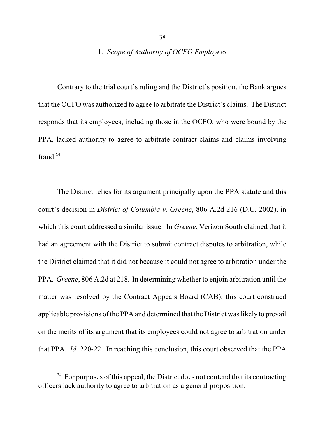# 1. *Scope of Authority of OCFO Employees*

Contrary to the trial court's ruling and the District's position, the Bank argues that the OCFO was authorized to agree to arbitrate the District's claims. The District responds that its employees, including those in the OCFO, who were bound by the PPA, lacked authority to agree to arbitrate contract claims and claims involving fraud. $24$ 

The District relies for its argument principally upon the PPA statute and this court's decision in *District of Columbia v. Greene*, 806 A.2d 216 (D.C. 2002), in which this court addressed a similar issue. In *Greene*, Verizon South claimed that it had an agreement with the District to submit contract disputes to arbitration, while the District claimed that it did not because it could not agree to arbitration under the PPA. *Greene*, 806 A.2d at 218. In determining whether to enjoin arbitration until the matter was resolved by the Contract Appeals Board (CAB), this court construed applicable provisions of the PPA and determined that the District was likely to prevail on the merits of its argument that its employees could not agree to arbitration under that PPA. *Id.* 220-22. In reaching this conclusion, this court observed that the PPA

 $24$  For purposes of this appeal, the District does not contend that its contracting officers lack authority to agree to arbitration as a general proposition.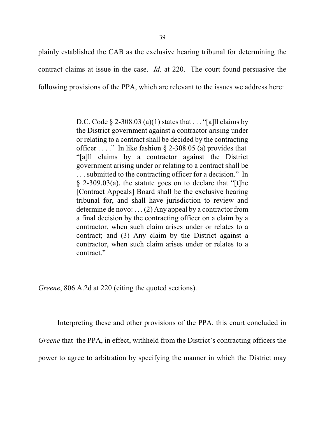plainly established the CAB as the exclusive hearing tribunal for determining the contract claims at issue in the case. *Id.* at 220. The court found persuasive the following provisions of the PPA, which are relevant to the issues we address here:

> D.C. Code  $\S$  2-308.03 (a)(1) states that . . . "[a]ll claims by the District government against a contractor arising under or relating to a contract shall be decided by the contracting officer  $\dots$  ." In like fashion § 2-308.05 (a) provides that "[a]ll claims by a contractor against the District government arising under or relating to a contract shall be . . . submitted to the contracting officer for a decision." In  $\S$  2-309.03(a), the statute goes on to declare that "[t] he [Contract Appeals] Board shall be the exclusive hearing tribunal for, and shall have jurisdiction to review and determine de novo: . . . (2) Any appeal by a contractor from a final decision by the contracting officer on a claim by a contractor, when such claim arises under or relates to a contract; and (3) Any claim by the District against a contractor, when such claim arises under or relates to a contract."

*Greene*, 806 A.2d at 220 (citing the quoted sections).

Interpreting these and other provisions of the PPA, this court concluded in *Greene* that the PPA, in effect, withheld from the District's contracting officers the power to agree to arbitration by specifying the manner in which the District may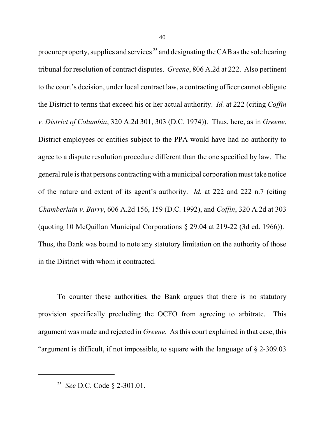procure property, supplies and services  $25$  and designating the CAB as the sole hearing tribunal for resolution of contract disputes. *Greene*, 806 A.2d at 222. Also pertinent to the court's decision, under local contract law, a contracting officer cannot obligate the District to terms that exceed his or her actual authority. *Id.* at 222 (citing *Coffin v. District of Columbia*, 320 A.2d 301, 303 (D.C. 1974)). Thus, here, as in *Greene*, District employees or entities subject to the PPA would have had no authority to agree to a dispute resolution procedure different than the one specified by law. The general rule isthat persons contracting with a municipal corporation must take notice of the nature and extent of its agent's authority. *Id.* at 222 and 222 n.7 (citing *Chamberlain v. Barry*, 606 A.2d 156, 159 (D.C. 1992), and *Coffin*, 320 A.2d at 303 (quoting 10 McQuillan Municipal Corporations § 29.04 at 219-22 (3d ed. 1966)). Thus, the Bank was bound to note any statutory limitation on the authority of those in the District with whom it contracted.

To counter these authorities, the Bank argues that there is no statutory provision specifically precluding the OCFO from agreeing to arbitrate. This argument was made and rejected in *Greene.* As this court explained in that case, this "argument is difficult, if not impossible, to square with the language of § 2-309.03

<sup>&</sup>lt;sup>25</sup> See D.C. Code § 2-301.01.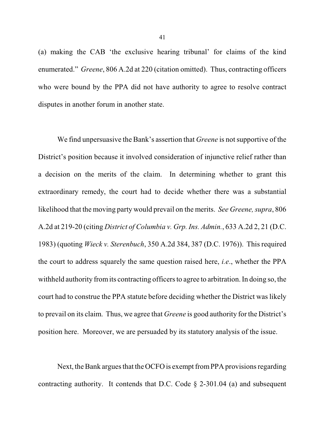(a) making the CAB 'the exclusive hearing tribunal' for claims of the kind enumerated." *Greene*, 806 A.2d at 220 (citation omitted). Thus, contracting officers who were bound by the PPA did not have authority to agree to resolve contract disputes in another forum in another state.

We find unpersuasive the Bank's assertion that *Greene* is not supportive of the District's position because it involved consideration of injunctive relief rather than a decision on the merits of the claim. In determining whether to grant this extraordinary remedy, the court had to decide whether there was a substantial likelihood that the moving party would prevail on the merits. *See Greene, supra*, 806 A.2d at 219-20 (citing *District of Columbia v. Grp. Ins. Admin.*, 633 A.2d 2, 21 (D.C. 1983) (quoting *Wieck v. Sterenbuch*, 350 A.2d 384, 387 (D.C. 1976)). This required the court to address squarely the same question raised here, *i.e*., whether the PPA withheld authority from its contracting officers to agree to arbitration. In doing so, the court had to construe the PPA statute before deciding whether the District was likely to prevail on its claim. Thus, we agree that *Greene* is good authority for the District's position here. Moreover, we are persuaded by its statutory analysis of the issue.

Next, the Bank argues that the OCFO is exempt from PPA provisions regarding contracting authority. It contends that D.C. Code  $\S$  2-301.04 (a) and subsequent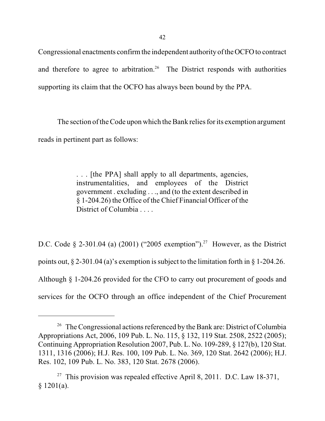42

Congressional enactments confirm the independent authority of the OCFO to contract and therefore to agree to arbitration.<sup>26</sup> The District responds with authorities supporting its claim that the OCFO has always been bound by the PPA.

The section of the Code upon which the Bank relies for its exemption argument reads in pertinent part as follows:

> . . . [the PPA] shall apply to all departments, agencies, instrumentalities, and employees of the District government . excluding . . ., and (to the extent described in § 1-204.26) the Office of the Chief Financial Officer of the District of Columbia . . . .

D.C. Code § 2-301.04 (a) (2001) ("2005 exemption").<sup>27</sup> However, as the District points out,  $\S 2-301.04$  (a)'s exemption is subject to the limitation forth in  $\S 1-204.26$ . Although § 1-204.26 provided for the CFO to carry out procurement of goods and services for the OCFO through an office independent of the Chief Procurement

 $26$  The Congressional actions referenced by the Bank are: District of Columbia Appropriations Act, 2006, 109 Pub. L. No. 115, § 132, 119 Stat. 2508, 2522 (2005); Continuing Appropriation Resolution 2007, Pub. L. No. 109-289, § 127(b), 120 Stat. 1311, 1316 (2006); H.J. Res. 100, 109 Pub. L. No. 369, 120 Stat. 2642 (2006); H.J. Res. 102, 109 Pub. L. No. 383, 120 Stat. 2678 (2006).

<sup>&</sup>lt;sup>27</sup> This provision was repealed effective April 8, 2011. D.C. Law 18-371,  $§ 1201(a).$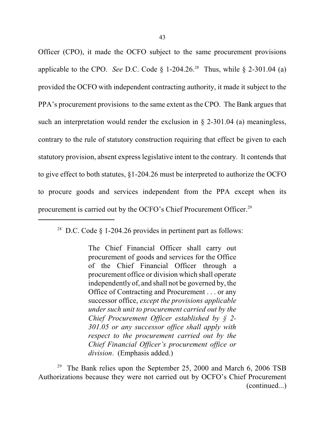Officer (CPO), it made the OCFO subject to the same procurement provisions applicable to the CPO. *See* D.C. Code  $\S$  1-204.26.<sup>28</sup> Thus, while  $\S$  2-301.04 (a) provided the OCFO with independent contracting authority, it made it subject to the PPA's procurement provisions to the same extent as the CPO. The Bank argues that such an interpretation would render the exclusion in § 2-301.04 (a) meaningless, contrary to the rule of statutory construction requiring that effect be given to each statutory provision, absent express legislative intent to the contrary. It contends that to give effect to both statutes, §1-204.26 must be interpreted to authorize the OCFO to procure goods and services independent from the PPA except when its procurement is carried out by the OCFO's Chief Procurement Officer.<sup>29</sup>

The Bank relies upon the September 25, 2000 and March 6, 2006 TSB 29 Authorizations because they were not carried out by OCFO's Chief Procurement (continued...)

<sup>&</sup>lt;sup>28</sup> D.C. Code  $\S$  1-204.26 provides in pertinent part as follows:

The Chief Financial Officer shall carry out procurement of goods and services for the Office of the Chief Financial Officer through a procurement office or division which shall operate independently of, and shall not be governed by, the Office of Contracting and Procurement . . . or any successor office, *except the provisions applicable under such unit to procurement carried out by the Chief Procurement Officer established by § 2- 301.05 or any successor office shall apply with respect to the procurement carried out by the Chief Financial Officer's procurement office or division*. (Emphasis added.)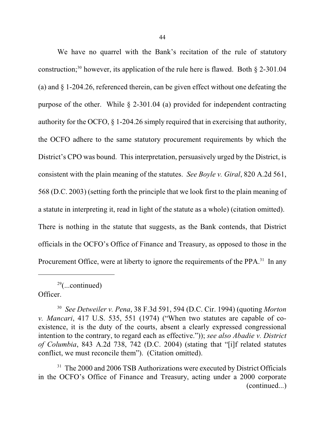We have no quarrel with the Bank's recitation of the rule of statutory construction;<sup>30</sup> however, its application of the rule here is flawed. Both  $\S$  2-301.04 (a) and § 1-204.26, referenced therein, can be given effect without one defeating the purpose of the other. While § 2-301.04 (a) provided for independent contracting authority for the OCFO, § 1-204.26 simply required that in exercising that authority, the OCFO adhere to the same statutory procurement requirements by which the District's CPO was bound. This interpretation, persuasively urged by the District, is consistent with the plain meaning of the statutes. *See Boyle v. Giral*, 820 A.2d 561, 568 (D.C. 2003) (setting forth the principle that we look first to the plain meaning of a statute in interpreting it, read in light of the statute as a whole) (citation omitted). There is nothing in the statute that suggests, as the Bank contends, that District officials in the OCFO's Office of Finance and Treasury, as opposed to those in the Procurement Office, were at liberty to ignore the requirements of the PPA.<sup>31</sup> In any

 $29$ (...continued) Officer.

*See Detweiler v. Pena*, 38 F.3d 591, 594 (D.C. Cir. 1994) (quoting *Morton* 30 *v. Mancari*, 417 U.S. 535, 551 (1974) ("When two statutes are capable of coexistence, it is the duty of the courts, absent a clearly expressed congressional intention to the contrary, to regard each as effective.")); *see also Abadie v. District of Columbia*, 843 A.2d 738, 742 (D.C. 2004) (stating that "[i]f related statutes conflict, we must reconcile them"). (Citation omitted).

<sup>&</sup>lt;sup>31</sup> The 2000 and 2006 TSB Authorizations were executed by District Officials in the OCFO's Office of Finance and Treasury, acting under a 2000 corporate (continued...)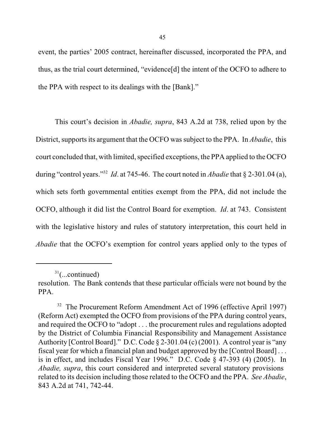event, the parties' 2005 contract, hereinafter discussed, incorporated the PPA, and thus, as the trial court determined, "evidence[d] the intent of the OCFO to adhere to the PPA with respect to its dealings with the [Bank]."

This court's decision in *Abadie, supra*, 843 A.2d at 738, relied upon by the District, supports its argument that the OCFO was subject to the PPA. In *Abadie*, this court concluded that, with limited, specified exceptions, the PPA applied to the OCFO during "control years."<sup>32</sup> *Id.* at 745-46. The court noted in *Abadie* that  $\S$  2-301.04 (a), which sets forth governmental entities exempt from the PPA, did not include the OCFO, although it did list the Control Board for exemption. *Id*. at 743. Consistent with the legislative history and rules of statutory interpretation, this court held in *Abadie* that the OCFO's exemption for control years applied only to the types of

 $31$ (...continued)

resolution. The Bank contends that these particular officials were not bound by the PPA.

<sup>&</sup>lt;sup>32</sup> The Procurement Reform Amendment Act of 1996 (effective April 1997) (Reform Act) exempted the OCFO from provisions of the PPA during control years, and required the OCFO to "adopt . . . the procurement rules and regulations adopted by the District of Columbia Financial Responsibility and Management Assistance Authority [Control Board]." D.C. Code § 2-301.04 (c) (2001). A control year is "any fiscal year for which a financial plan and budget approved by the [Control Board] . . . is in effect, and includes Fiscal Year 1996." D.C. Code § 47-393 (4) (2005). In *Abadie, supra*, this court considered and interpreted several statutory provisions related to its decision including those related to the OCFO and the PPA. *See Abadie*, 843 A.2d at 741, 742-44.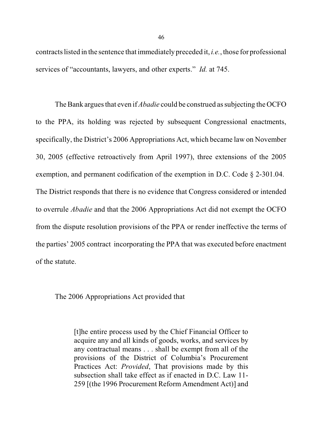contracts listed in the sentence that immediately preceded it, *i.e.*, those for professional services of "accountants, lawyers, and other experts." *Id.* at 745.

The Bank argues that even if *Abadie* could be construed as subjecting the OCFO to the PPA, its holding was rejected by subsequent Congressional enactments, specifically, the District's 2006 Appropriations Act, which became law on November 30, 2005 (effective retroactively from April 1997), three extensions of the 2005 exemption, and permanent codification of the exemption in D.C. Code § 2-301.04. The District responds that there is no evidence that Congress considered or intended to overrule *Abadie* and that the 2006 Appropriations Act did not exempt the OCFO from the dispute resolution provisions of the PPA or render ineffective the terms of the parties' 2005 contract incorporating the PPA that was executed before enactment of the statute.

The 2006 Appropriations Act provided that

[t]he entire process used by the Chief Financial Officer to acquire any and all kinds of goods, works, and services by any contractual means . . . shall be exempt from all of the provisions of the District of Columbia's Procurement Practices Act: *Provided*, That provisions made by this subsection shall take effect as if enacted in D.C. Law 11- 259 [(the 1996 Procurement Reform Amendment Act)] and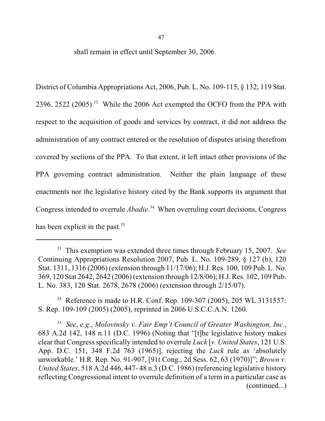47

shall remain in effect until September 30, 2006.

District of Columbia Appropriations Act, 2006, Pub. L. No. 109-115, § 132, 119 Stat. 2396, 2522  $(2005)^{33}$  While the 2006 Act exempted the OCFO from the PPA with respect to the acquisition of goods and services by contract, it did not address the administration of any contract entered or the resolution of disputes arising therefrom covered by sections of the PPA. To that extent, it left intact other provisions of the PPA governing contract administration. Neither the plain language of these enactments nor the legislative history cited by the Bank supports its argument that Congress intended to overrule *Abadie*.<sup>34</sup> When overruling court decisions, Congress has been explicit in the past.<sup>35</sup>

<sup>34</sup> Reference is made to H.R. Conf. Rep. 109-307 (2005), 205 WL 3131557: S. Rep. 109-109 (2005) (2005), reprinted in 2006 U.S.C.C.A.N. 1260.

*See*, *e.g.*, *Molovinsky v. Fair Emp't Council of Greater Washington, Inc.*, 35 683 A.2d 142, 148 n.11 (D.C. 1996) (Noting that "[t]he legislative history makes clear that Congress specifically intended to overrule *Luck* [*v. United States*, 121 U.S. App. D.C. 151, 348 F.2d 763 (1965)], rejecting the *Luck* rule as 'absolutely unworkable.' H.R. Rep. No. 91-907, [91t Cong., 2d Sess. 62, 63 (1970)]"; *Brown v. United States*, 518 A.2d 446, 447- 48 n.3 (D.C. 1986) (referencing legislative history reflecting Congressional intent to overrule definition of a term in a particular case as (continued...)

This exemption was extended three times through February 15, 2007. *See* 33 Continuing Appropriations Resolution 2007, Pub. L. No. 109-289, § 127 (b), 120 Stat. 1311, 1316 (2006) (extension through 11/17/06); H.J. Res. 100, 109 Pub. L. No. 369, 120 Stat 2642, 2642 (2006) (extension through 12/8/06); H.J. Res. 102, 109 Pub. L. No. 383, 120 Stat. 2678, 2678 (2006) (extension through 2/15/07).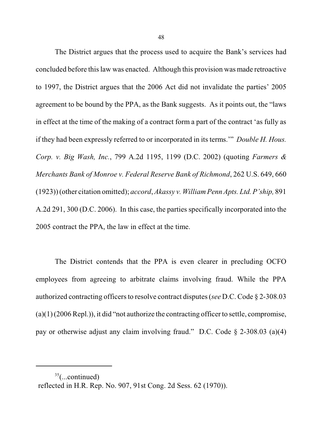The District argues that the process used to acquire the Bank's services had concluded before thislaw was enacted. Although this provision was made retroactive to 1997, the District argues that the 2006 Act did not invalidate the parties' 2005 agreement to be bound by the PPA, as the Bank suggests. As it points out, the "laws in effect at the time of the making of a contract form a part of the contract 'as fully as if they had been expressly referred to or incorporated in its terms.'" *Double H. Hous. Corp. v. Big Wash, Inc.*, 799 A.2d 1195, 1199 (D.C. 2002) (quoting *Farmers & Merchants Bank of Monroe v. Federal Reserve Bank of Richmond*, 262 U.S. 649, 660 (1923)) (other citation omitted); *accord*,*Akassy v. William Penn Apts. Ltd. P'ship,* 891 A.2d 291, 300 (D.C. 2006). In this case, the parties specifically incorporated into the 2005 contract the PPA, the law in effect at the time.

The District contends that the PPA is even clearer in precluding OCFO employees from agreeing to arbitrate claims involving fraud. While the PPA authorized contracting officers to resolve contract disputes (*see* D.C. Code § 2-308.03  $(a)(1)(2006 \text{Repl.}))$ , it did "not authorize the contracting officer to settle, compromise, pay or otherwise adjust any claim involving fraud." D.C. Code § 2-308.03 (a)(4)

 $35$ (...continued) reflected in H.R. Rep. No. 907, 91st Cong. 2d Sess. 62 (1970)).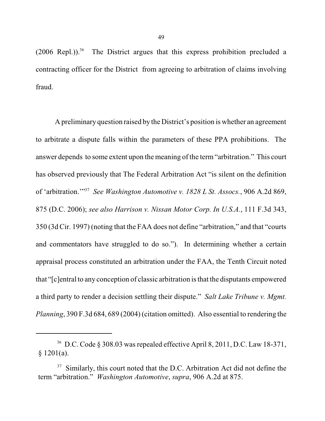$(2006 \text{ Repl.}))$ .<sup>36</sup> The District argues that this express prohibition precluded a contracting officer for the District from agreeing to arbitration of claims involving fraud.

A preliminary question raised by the District's position is whether an agreement to arbitrate a dispute falls within the parameters of these PPA prohibitions. The answer depends to some extent upon the meaning of the term"arbitration." This court has observed previously that The Federal Arbitration Act "is silent on the definition of 'arbitration."<sup>37</sup> See Washington Automotive v. 1828 L St. Assocs., 906 A.2d 869, 875 (D.C. 2006); *see also Harrison v. Nissan Motor Corp. In U.S.A.*, 111 F.3d 343, 350 (3d Cir. 1997) (noting that the FAA does not define "arbitration," and that "courts and commentators have struggled to do so."). In determining whether a certain appraisal process constituted an arbitration under the FAA, the Tenth Circuit noted that "[c]entral to any conception of classic arbitration isthat the disputants empowered a third party to render a decision settling their dispute." *Salt Lake Tribune v. Mgmt. Planning*, 390 F.3d 684, 689 (2004) (citation omitted). Also essential to rendering the

 $36$  D.C. Code § 308.03 was repealed effective April 8, 2011, D.C. Law 18-371,  $§ 1201(a).$ 

 $37$  Similarly, this court noted that the D.C. Arbitration Act did not define the term "arbitration." *Washington Automotive*, *supra*, 906 A.2d at 875.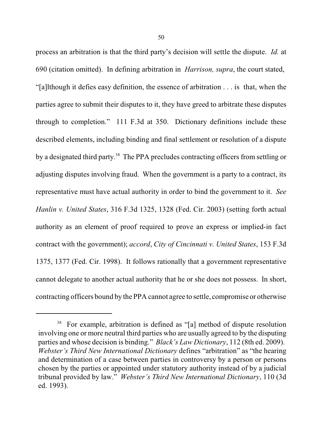process an arbitration is that the third party's decision will settle the dispute. *Id.* at 690 (citation omitted). In defining arbitration in *Harrison, supra*, the court stated, "[a]lthough it defies easy definition, the essence of arbitration . . . is that, when the parties agree to submit their disputes to it, they have greed to arbitrate these disputes through to completion." 111 F.3d at 350. Dictionary definitions include these described elements, including binding and final settlement or resolution of a dispute by a designated third party.<sup>38</sup> The PPA precludes contracting officers from settling or adjusting disputes involving fraud. When the government is a party to a contract, its representative must have actual authority in order to bind the government to it. *See Hanlin v. United States*, 316 F.3d 1325, 1328 (Fed. Cir. 2003) (setting forth actual authority as an element of proof required to prove an express or implied-in fact contract with the government); *accord*, *City of Cincinnati v. United States*, 153 F.3d 1375, 1377 (Fed. Cir. 1998). It follows rationally that a government representative cannot delegate to another actual authority that he or she does not possess. In short, contracting officers bound by the PPA cannot agree to settle, compromise or otherwise

<sup>&</sup>lt;sup>38</sup> For example, arbitration is defined as "[a] method of dispute resolution involving one or more neutral third parties who are usually agreed to by the disputing parties and whose decision is binding." *Black's Law Dictionary*, 112 (8th ed. 2009). *Webster's Third New International Dictionary* defines "arbitration" as "the hearing and determination of a case between parties in controversy by a person or persons chosen by the parties or appointed under statutory authority instead of by a judicial tribunal provided by law." *Webster's Third New International Dictionary*, 110 (3d ed. 1993).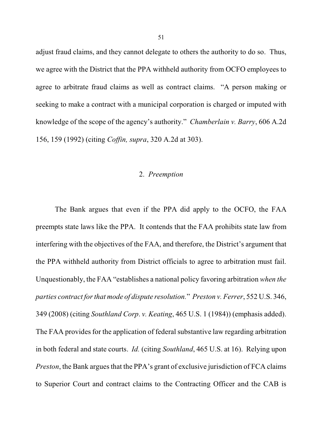adjust fraud claims, and they cannot delegate to others the authority to do so. Thus, we agree with the District that the PPA withheld authority from OCFO employees to agree to arbitrate fraud claims as well as contract claims. "A person making or seeking to make a contract with a municipal corporation is charged or imputed with knowledge of the scope of the agency's authority." *Chamberlain v. Barry*, 606 A.2d 156, 159 (1992) (citing *Coffin, supra*, 320 A.2d at 303).

# 2. *Preemption*

The Bank argues that even if the PPA did apply to the OCFO, the FAA preempts state laws like the PPA. It contends that the FAA prohibits state law from interfering with the objectives of the FAA, and therefore, the District's argument that the PPA withheld authority from District officials to agree to arbitration must fail. Unquestionably, the FAA "establishes a national policy favoring arbitration *when the parties contract for that mode of dispute resolution.*" *Preston v. Ferrer*, 552 U.S. 346, 349 (2008) (citing *Southland Corp*. *v. Keating*, 465 U.S. 1 (1984)) (emphasis added). The FAA provides for the application of federal substantive law regarding arbitration in both federal and state courts. *Id.* (citing *Southland*, 465 U.S. at 16). Relying upon *Preston*, the Bank argues that the PPA's grant of exclusive jurisdiction of FCA claims to Superior Court and contract claims to the Contracting Officer and the CAB is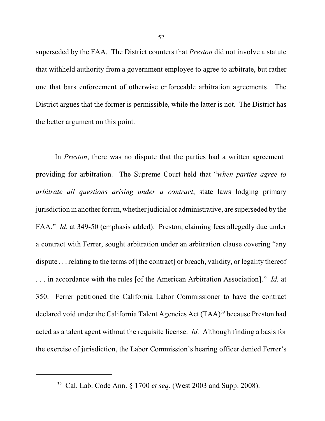superseded by the FAA. The District counters that *Preston* did not involve a statute that withheld authority from a government employee to agree to arbitrate, but rather one that bars enforcement of otherwise enforceable arbitration agreements. The District argues that the former is permissible, while the latter is not. The District has the better argument on this point.

In *Preston*, there was no dispute that the parties had a written agreement providing for arbitration. The Supreme Court held that "*when parties agree to arbitrate all questions arising under a contract*, state laws lodging primary jurisdiction in another forum, whether judicial or administrative, are superseded by the FAA." *Id.* at 349-50 (emphasis added). Preston, claiming fees allegedly due under a contract with Ferrer, sought arbitration under an arbitration clause covering "any dispute . . . relating to the terms of [the contract] or breach, validity, or legality thereof . . . in accordance with the rules [of the American Arbitration Association]." *Id.* at 350. Ferrer petitioned the California Labor Commissioner to have the contract declared void under the California Talent Agencies Act (TAA)<sup>39</sup> because Preston had acted as a talent agent without the requisite license. *Id.* Although finding a basis for the exercise of jurisdiction, the Labor Commission's hearing officer denied Ferrer's

<sup>&</sup>lt;sup>39</sup> Cal. Lab. Code Ann. § 1700 *et seq.* (West 2003 and Supp. 2008).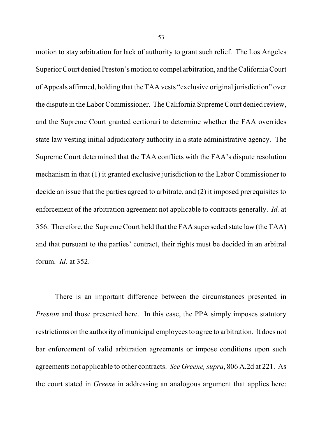motion to stay arbitration for lack of authority to grant such relief. The Los Angeles Superior Court denied Preston's motion to compel arbitration, and theCalifornia Court of Appeals affirmed, holding that the TAA vests "exclusive original jurisdiction" over the dispute in the Labor Commissioner. The California Supreme Court denied review, and the Supreme Court granted certiorari to determine whether the FAA overrides state law vesting initial adjudicatory authority in a state administrative agency. The Supreme Court determined that the TAA conflicts with the FAA's dispute resolution mechanism in that (1) it granted exclusive jurisdiction to the Labor Commissioner to decide an issue that the parties agreed to arbitrate, and (2) it imposed prerequisites to enforcement of the arbitration agreement not applicable to contracts generally. *Id.* at 356. Therefore, the Supreme Court held that the FAA superseded state law (the TAA) and that pursuant to the parties' contract, their rights must be decided in an arbitral forum. *Id.* at 352.

There is an important difference between the circumstances presented in *Preston* and those presented here. In this case, the PPA simply imposes statutory restrictions on the authority of municipal employees to agree to arbitration. It does not bar enforcement of valid arbitration agreements or impose conditions upon such agreements not applicable to other contracts. *See Greene, supra*, 806 A.2d at 221. As the court stated in *Greene* in addressing an analogous argument that applies here: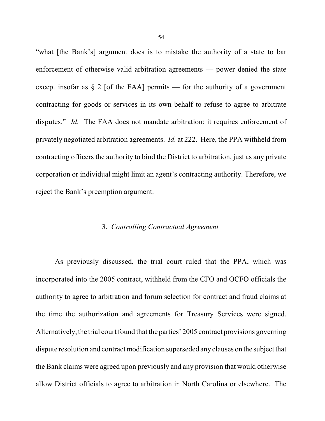"what [the Bank's] argument does is to mistake the authority of a state to bar enforcement of otherwise valid arbitration agreements — power denied the state except insofar as  $\S 2$  [of the FAA] permits — for the authority of a government contracting for goods or services in its own behalf to refuse to agree to arbitrate disputes." *Id.* The FAA does not mandate arbitration; it requires enforcement of privately negotiated arbitration agreements. *Id.* at 222. Here, the PPA withheld from contracting officers the authority to bind the District to arbitration, just as any private corporation or individual might limit an agent's contracting authority. Therefore, we reject the Bank's preemption argument.

## 3. *Controlling Contractual Agreement*

As previously discussed, the trial court ruled that the PPA, which was incorporated into the 2005 contract, withheld from the CFO and OCFO officials the authority to agree to arbitration and forum selection for contract and fraud claims at the time the authorization and agreements for Treasury Services were signed. Alternatively, the trial court found that the parties' 2005 contract provisions governing dispute resolution and contract modification superseded any clauses on the subject that the Bank claims were agreed upon previously and any provision that would otherwise allow District officials to agree to arbitration in North Carolina or elsewhere. The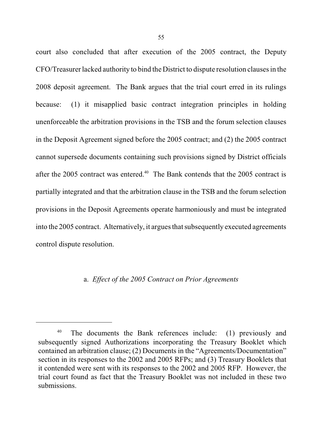court also concluded that after execution of the 2005 contract, the Deputy CFO/Treasurer lacked authority to bind the District to dispute resolution clauses in the 2008 deposit agreement. The Bank argues that the trial court erred in its rulings because: (1) it misapplied basic contract integration principles in holding unenforceable the arbitration provisions in the TSB and the forum selection clauses in the Deposit Agreement signed before the 2005 contract; and (2) the 2005 contract cannot supersede documents containing such provisions signed by District officials after the 2005 contract was entered.<sup>40</sup> The Bank contends that the 2005 contract is partially integrated and that the arbitration clause in the TSB and the forum selection provisions in the Deposit Agreements operate harmoniously and must be integrated into the 2005 contract. Alternatively, it argues that subsequently executed agreements control dispute resolution.

#### a. *Effect of the 2005 Contract on Prior Agreements*

The documents the Bank references include: (1) previously and 40 subsequently signed Authorizations incorporating the Treasury Booklet which contained an arbitration clause; (2) Documents in the "Agreements/Documentation" section in its responses to the 2002 and 2005 RFPs; and (3) Treasury Booklets that it contended were sent with its responses to the 2002 and 2005 RFP. However, the trial court found as fact that the Treasury Booklet was not included in these two submissions.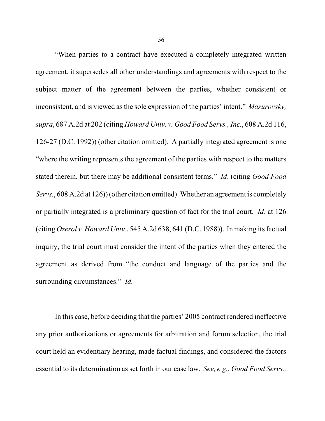"When parties to a contract have executed a completely integrated written agreement, it supersedes all other understandings and agreements with respect to the subject matter of the agreement between the parties, whether consistent or inconsistent, and is viewed as the sole expression of the parties' intent." *Masurovsky, supra*, 687 A.2d at 202 (citing *Howard Univ. v. Good Food Servs., Inc.*, 608 A.2d 116, 126-27 (D.C. 1992)) (other citation omitted). A partially integrated agreement is one "where the writing represents the agreement of the parties with respect to the matters stated therein, but there may be additional consistent terms." *Id*. (citing *Good Food Servs.*, 608 A.2d at 126)) (other citation omitted). Whether an agreement is completely or partially integrated is a preliminary question of fact for the trial court. *Id*. at 126 (citing *Ozerol v. Howard Univ.*, 545 A.2d 638, 641 (D.C. 1988)). In making its factual inquiry, the trial court must consider the intent of the parties when they entered the agreement as derived from "the conduct and language of the parties and the surrounding circumstances." *Id.* 

In this case, before deciding that the parties' 2005 contract rendered ineffective any prior authorizations or agreements for arbitration and forum selection, the trial court held an evidentiary hearing, made factual findings, and considered the factors essential to its determination as set forth in our case law. *See, e.g.*, *Good Food Servs.,*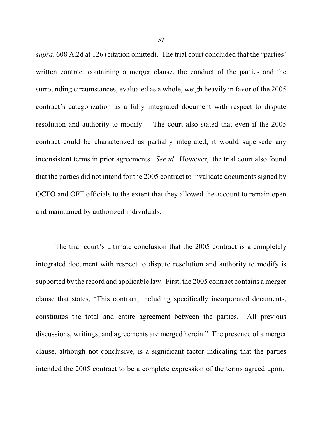*supra*, 608 A.2d at 126 (citation omitted). The trial court concluded that the "parties' written contract containing a merger clause, the conduct of the parties and the surrounding circumstances, evaluated as a whole, weigh heavily in favor of the 2005 contract's categorization as a fully integrated document with respect to dispute resolution and authority to modify." The court also stated that even if the 2005 contract could be characterized as partially integrated, it would supersede any inconsistent terms in prior agreements. *See id*. However, the trial court also found that the parties did not intend for the 2005 contract to invalidate documents signed by OCFO and OFT officials to the extent that they allowed the account to remain open and maintained by authorized individuals.

The trial court's ultimate conclusion that the 2005 contract is a completely integrated document with respect to dispute resolution and authority to modify is supported by the record and applicable law. First, the 2005 contract contains a merger clause that states, "This contract, including specifically incorporated documents, constitutes the total and entire agreement between the parties. All previous discussions, writings, and agreements are merged herein." The presence of a merger clause, although not conclusive, is a significant factor indicating that the parties intended the 2005 contract to be a complete expression of the terms agreed upon.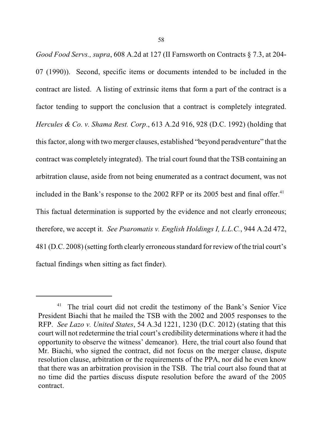*Good Food Servs., supra*, 608 A.2d at 127 (II Farnsworth on Contracts § 7.3, at 204- 07 (1990)). Second, specific items or documents intended to be included in the contract are listed. A listing of extrinsic items that form a part of the contract is a factor tending to support the conclusion that a contract is completely integrated. *Hercules & Co. v. Shama Rest. Corp*., 613 A.2d 916, 928 (D.C. 1992) (holding that thisfactor, along with two merger clauses, established "beyond peradventure" that the contract was completely integrated). The trial court found that the TSB containing an arbitration clause, aside from not being enumerated as a contract document, was not included in the Bank's response to the  $2002$  RFP or its  $2005$  best and final offer.<sup>41</sup> This factual determination is supported by the evidence and not clearly erroneous; therefore, we accept it. *See Psaromatis v. English Holdings I, L.L.C.*, 944 A.2d 472, 481 (D.C. 2008) (setting forth clearly erroneous standard for review of the trial court's factual findings when sitting as fact finder).

 $41$  The trial court did not credit the testimony of the Bank's Senior Vice President Biachi that he mailed the TSB with the 2002 and 2005 responses to the RFP. *See Lazo v. United States*, 54 A.3d 1221, 1230 (D.C. 2012) (stating that this court will not redetermine the trial court's credibility determinations where it had the opportunity to observe the witness' demeanor). Here, the trial court also found that Mr. Biachi, who signed the contract, did not focus on the merger clause, dispute resolution clause, arbitration or the requirements of the PPA, nor did he even know that there was an arbitration provision in the TSB. The trial court also found that at no time did the parties discuss dispute resolution before the award of the 2005 contract.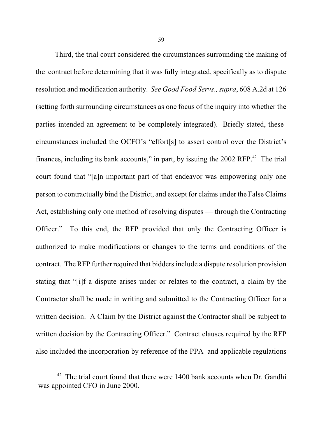Third, the trial court considered the circumstances surrounding the making of the contract before determining that it was fully integrated, specifically as to dispute resolution and modification authority. *See Good Food Servs*.*,supra*, 608 A.2d at 126 (setting forth surrounding circumstances as one focus of the inquiry into whether the parties intended an agreement to be completely integrated). Briefly stated, these circumstances included the OCFO's "effort[s] to assert control over the District's finances, including its bank accounts," in part, by issuing the  $2002$  RFP.<sup>42</sup> The trial court found that "[a]n important part of that endeavor was empowering only one person to contractually bind the District, and except for claims under the False Claims Act, establishing only one method of resolving disputes — through the Contracting Officer." To this end, the RFP provided that only the Contracting Officer is authorized to make modifications or changes to the terms and conditions of the contract. The RFP further required that biddersinclude a dispute resolution provision stating that "[i]f a dispute arises under or relates to the contract, a claim by the Contractor shall be made in writing and submitted to the Contracting Officer for a written decision. A Claim by the District against the Contractor shall be subject to written decision by the Contracting Officer." Contract clauses required by the RFP also included the incorporation by reference of the PPA and applicable regulations

 $42$  The trial court found that there were 1400 bank accounts when Dr. Gandhi was appointed CFO in June 2000.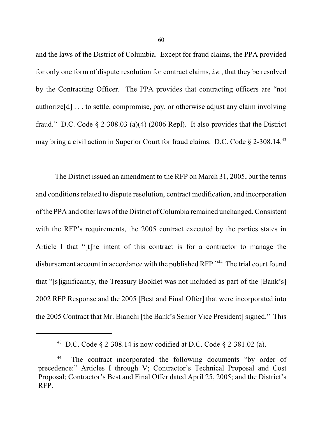and the laws of the District of Columbia. Except for fraud claims, the PPA provided for only one form of dispute resolution for contract claims, *i.e.*, that they be resolved by the Contracting Officer. The PPA provides that contracting officers are "not authorize[d] . . . to settle, compromise, pay, or otherwise adjust any claim involving fraud." D.C. Code § 2-308.03 (a)(4) (2006 Repl). It also provides that the District may bring a civil action in Superior Court for fraud claims. D.C. Code § 2-308.14.<sup>43</sup>

The District issued an amendment to the RFP on March 31, 2005, but the terms and conditions related to dispute resolution, contract modification, and incorporation ofthe PPA and other laws ofthe District ofColumbia remained unchanged. Consistent with the RFP's requirements, the 2005 contract executed by the parties states in Article I that "[t]he intent of this contract is for a contractor to manage the disbursement account in accordance with the published RFP."<sup>44</sup> The trial court found that "[s]ignificantly, the Treasury Booklet was not included as part of the [Bank's] 2002 RFP Response and the 2005 [Best and Final Offer] that were incorporated into the 2005 Contract that Mr. Bianchi [the Bank's Senior Vice President] signed." This

<sup>&</sup>lt;sup>43</sup> D.C. Code § 2-308.14 is now codified at D.C. Code § 2-381.02 (a).

<sup>&</sup>lt;sup>44</sup> The contract incorporated the following documents "by order of precedence:" Articles I through V; Contractor's Technical Proposal and Cost Proposal; Contractor's Best and Final Offer dated April 25, 2005; and the District's RFP.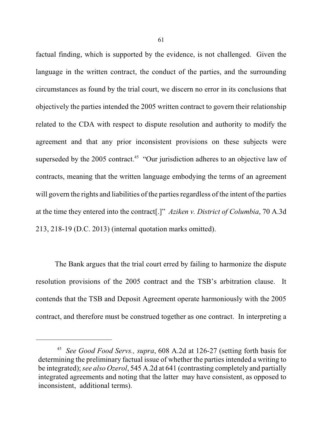factual finding, which is supported by the evidence, is not challenged. Given the language in the written contract, the conduct of the parties, and the surrounding circumstances as found by the trial court, we discern no error in its conclusions that objectively the parties intended the 2005 written contract to govern their relationship related to the CDA with respect to dispute resolution and authority to modify the agreement and that any prior inconsistent provisions on these subjects were superseded by the 2005 contract.<sup>45</sup> "Our jurisdiction adheres to an objective law of contracts, meaning that the written language embodying the terms of an agreement will govern the rights and liabilities of the parties regardless of the intent of the parties at the time they entered into the contract[.]" *Aziken v. District of Columbia*, 70 A.3d 213, 218-19 (D.C. 2013) (internal quotation marks omitted).

The Bank argues that the trial court erred by failing to harmonize the dispute resolution provisions of the 2005 contract and the TSB's arbitration clause. It contends that the TSB and Deposit Agreement operate harmoniously with the 2005 contract, and therefore must be construed together as one contract. In interpreting a

<sup>&</sup>lt;sup>45</sup> See Good Food Servs., supra, 608 A.2d at 126-27 (setting forth basis for determining the preliminary factual issue of whether the parties intended a writing to be integrated);*see also Ozerol*, 545 A.2d at 641 (contrasting completely and partially integrated agreements and noting that the latter may have consistent, as opposed to inconsistent, additional terms).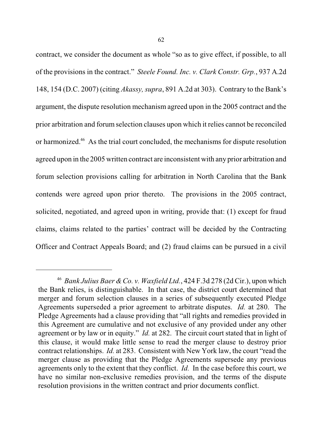contract, we consider the document as whole "so as to give effect, if possible, to all of the provisions in the contract." *Steele Found. Inc. v. Clark Constr. Grp.*, 937 A.2d 148, 154 (D.C. 2007) (citing *Akassy, supra*, 891 A.2d at 303). Contrary to the Bank's argument, the dispute resolution mechanism agreed upon in the 2005 contract and the prior arbitration and forum selection clauses upon which it relies cannot be reconciled or harmonized.<sup>46</sup> As the trial court concluded, the mechanisms for dispute resolution agreed upon in the 2005 written contract are inconsistent with any prior arbitration and forum selection provisions calling for arbitration in North Carolina that the Bank contends were agreed upon prior thereto. The provisions in the 2005 contract, solicited, negotiated, and agreed upon in writing, provide that: (1) except for fraud claims, claims related to the parties' contract will be decided by the Contracting Officer and Contract Appeals Board; and (2) fraud claims can be pursued in a civil

<sup>&</sup>lt;sup>46</sup> Bank Julius Baer & Co. v. Waxfield Ltd., 424 F.3d 278 (2d Cir.), upon which the Bank relies, is distinguishable. In that case, the district court determined that merger and forum selection clauses in a series of subsequently executed Pledge Agreements superseded a prior agreement to arbitrate disputes. *Id.* at 280. The Pledge Agreements had a clause providing that "all rights and remedies provided in this Agreement are cumulative and not exclusive of any provided under any other agreement or by law or in equity." *Id.* at 282. The circuit court stated that in light of this clause, it would make little sense to read the merger clause to destroy prior contract relationships. *Id.* at 283. Consistent with New York law, the court "read the merger clause as providing that the Pledge Agreements supersede any previous agreements only to the extent that they conflict. *Id.* In the case before this court, we have no similar non-exclusive remedies provision, and the terms of the dispute resolution provisions in the written contract and prior documents conflict.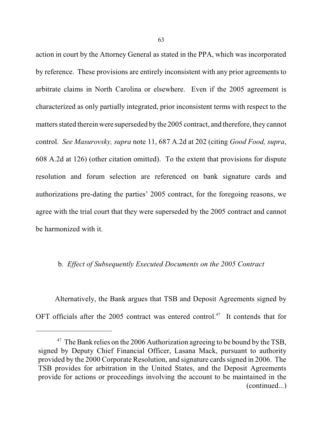action in court by the Attorney General as stated in the PPA, which was incorporated by reference. These provisions are entirely inconsistent with any prior agreements to arbitrate claims in North Carolina or elsewhere. Even if the 2005 agreement is characterized as only partially integrated, prior inconsistent terms with respect to the matters stated therein were superseded by the 2005 contract, and therefore, they cannot control. *See Masurovsky, supra* note 11, 687 A.2d at 202 (citing *Good Food, supra*, 608 A.2d at 126) (other citation omitted). To the extent that provisions for dispute resolution and forum selection are referenced on bank signature cards and authorizations pre-dating the parties' 2005 contract, for the foregoing reasons, we agree with the trial court that they were superseded by the 2005 contract and cannot be harmonized with it.

## b. *Effect of Subsequently Executed Documents on the 2005 Contract*

Alternatively, the Bank argues that TSB and Deposit Agreements signed by OFT officials after the 2005 contract was entered control.<sup>47</sup> It contends that for

 $47$  The Bank relies on the 2006 Authorization agreeing to be bound by the TSB, signed by Deputy Chief Financial Officer, Lasana Mack, pursuant to authority provided by the 2000 Corporate Resolution, and signature cards signed in 2006. The TSB provides for arbitration in the United States, and the Deposit Agreements provide for actions or proceedings involving the account to be maintained in the (continued...)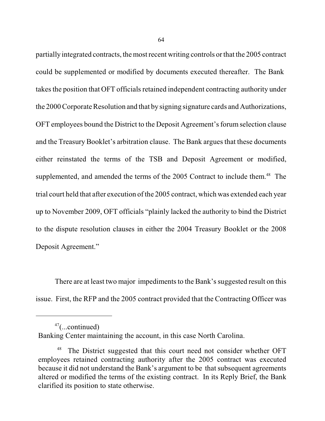partially integrated contracts, the most recent writing controls orthat the 2005 contract could be supplemented or modified by documents executed thereafter. The Bank takes the position that OFT officials retained independent contracting authority under the 2000Corporate Resolution and that by signing signature cards and Authorizations, OFT employees bound the District to the Deposit Agreement's forum selection clause and the Treasury Booklet's arbitration clause. The Bank argues that these documents either reinstated the terms of the TSB and Deposit Agreement or modified, supplemented, and amended the terms of the 2005 Contract to include them.<sup>48</sup> The trial court held that after execution ofthe 2005 contract, which was extended each year up to November 2009, OFT officials "plainly lacked the authority to bind the District to the dispute resolution clauses in either the 2004 Treasury Booklet or the 2008 Deposit Agreement."

There are at least two major impediments to the Bank's suggested result on this issue. First, the RFP and the 2005 contract provided that the Contracting Officer was

 $47$ (...continued)

Banking Center maintaining the account, in this case North Carolina.

<sup>&</sup>lt;sup>48</sup> The District suggested that this court need not consider whether OFT employees retained contracting authority after the 2005 contract was executed because it did not understand the Bank's argument to be that subsequent agreements altered or modified the terms of the existing contract. In its Reply Brief, the Bank clarified its position to state otherwise.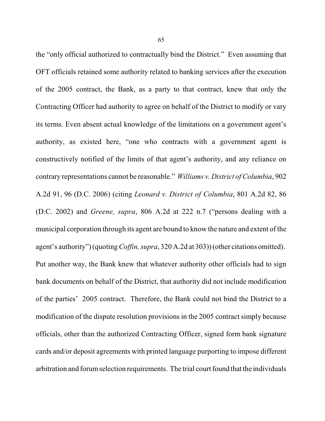the "only official authorized to contractually bind the District." Even assuming that OFT officials retained some authority related to banking services after the execution of the 2005 contract, the Bank, as a party to that contract, knew that only the Contracting Officer had authority to agree on behalf of the District to modify or vary its terms. Even absent actual knowledge of the limitations on a government agent's authority, as existed here, "one who contracts with a government agent is constructively notified of the limits of that agent's authority, and any reliance on contrary representations cannot be reasonable." *Williams v. District of Columbia*, 902 A.2d 91, 96 (D.C. 2006) (citing *Leonard v. District of Columbia*, 801 A.2d 82, 86 (D.C. 2002) and *Greene, supra*, 806 A.2d at 222 n.7 ("persons dealing with a municipal corporation through its agent are bound to know the nature and extent of the agent's authority") (quoting*Coffin, supra*, 320 A.2d at 303)) (other citations omitted). Put another way, the Bank knew that whatever authority other officials had to sign bank documents on behalf of the District, that authority did not include modification of the parties' 2005 contract. Therefore, the Bank could not bind the District to a modification of the dispute resolution provisions in the 2005 contract simply because officials, other than the authorized Contracting Officer, signed form bank signature cards and/or deposit agreements with printed language purporting to impose different arbitration and forumselection requirements. The trial court found that the individuals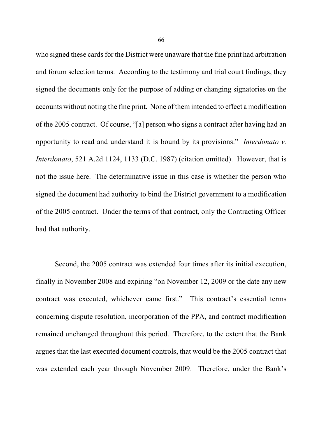who signed these cards for the District were unaware that the fine print had arbitration and forum selection terms. According to the testimony and trial court findings, they signed the documents only for the purpose of adding or changing signatories on the accounts without noting the fine print. None of them intended to effect a modification of the 2005 contract. Of course, "[a] person who signs a contract after having had an opportunity to read and understand it is bound by its provisions." *Interdonato v. Interdonato*, 521 A.2d 1124, 1133 (D.C. 1987) (citation omitted). However, that is not the issue here. The determinative issue in this case is whether the person who signed the document had authority to bind the District government to a modification of the 2005 contract. Under the terms of that contract, only the Contracting Officer had that authority.

Second, the 2005 contract was extended four times after its initial execution, finally in November 2008 and expiring "on November 12, 2009 or the date any new contract was executed, whichever came first." This contract's essential terms concerning dispute resolution, incorporation of the PPA, and contract modification remained unchanged throughout this period. Therefore, to the extent that the Bank argues that the last executed document controls, that would be the 2005 contract that was extended each year through November 2009. Therefore, under the Bank's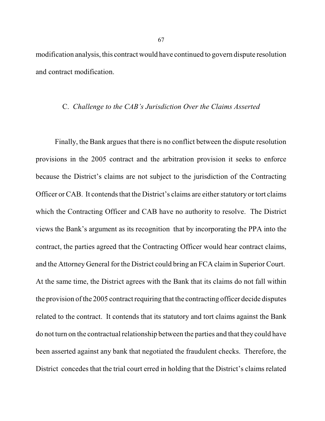modification analysis, this contract would have continued to govern dispute resolution and contract modification.

#### C. *Challenge to the CAB's Jurisdiction Over the Claims Asserted*

Finally, the Bank argues that there is no conflict between the dispute resolution provisions in the 2005 contract and the arbitration provision it seeks to enforce because the District's claims are not subject to the jurisdiction of the Contracting Officer or CAB. It contends that the District's claims are either statutory or tort claims which the Contracting Officer and CAB have no authority to resolve. The District views the Bank's argument as its recognition that by incorporating the PPA into the contract, the parties agreed that the Contracting Officer would hear contract claims, and the Attorney General for the District could bring an FCA claim in Superior Court. At the same time, the District agrees with the Bank that its claims do not fall within the provision of the 2005 contract requiring that the contracting officer decide disputes related to the contract. It contends that its statutory and tort claims against the Bank do not turn on the contractual relationship between the parties and that they could have been asserted against any bank that negotiated the fraudulent checks. Therefore, the District concedes that the trial court erred in holding that the District's claims related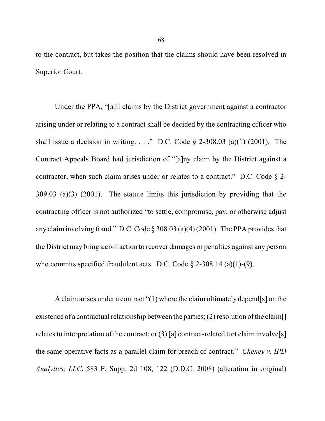to the contract, but takes the position that the claims should have been resolved in Superior Court.

Under the PPA, "[a]ll claims by the District government against a contractor arising under or relating to a contract shall be decided by the contracting officer who shall issue a decision in writing. . . ." D.C. Code  $\S$  2-308.03 (a)(1) (2001). The Contract Appeals Board had jurisdiction of "[a]ny claim by the District against a contractor, when such claim arises under or relates to a contract." D.C. Code  $\S$  2-309.03 (a)(3) (2001). The statute limits this jurisdiction by providing that the contracting officer is not authorized "to settle, compromise, pay, or otherwise adjust any claim involving fraud." D.C. Code § 308.03 (a)(4) (2001). The PPA provides that the District may bring a civil action to recover damages or penalties against any person who commits specified fraudulent acts. D.C. Code  $\S$  2-308.14 (a)(1)-(9).

A claimarises under a contract "(1) where the claimultimately depend[s] on the existence of a contractual relationship between the parties; (2) resolution of the claim. relates to interpretation of the contract; or  $(3)$  [a] contract-related tort claim involve[s] the same operative facts as a parallel claim for breach of contract." *Cheney v. IPD Analytics, LLC*, 583 F. Supp. 2d 108, 122 (D.D.C. 2008) (alteration in original)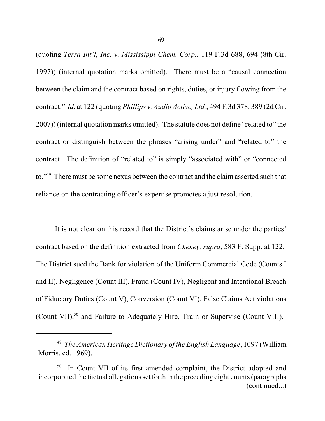(quoting *Terra Int'l, Inc. v. Mississippi Chem. Corp.*, 119 F.3d 688, 694 (8th Cir. 1997)) (internal quotation marks omitted). There must be a "causal connection between the claim and the contract based on rights, duties, or injury flowing from the contract." *Id.* at 122 (quoting *Phillips v. Audio Active, Ltd.*, 494 F.3d 378, 389 (2d Cir. 2007)) (internal quotation marks omitted). The statute does not define "related to" the contract or distinguish between the phrases "arising under" and "related to" the contract. The definition of "related to" is simply "associated with" or "connected to."<sup>49</sup> There must be some nexus between the contract and the claim asserted such that reliance on the contracting officer's expertise promotes a just resolution.

It is not clear on this record that the District's claims arise under the parties' contract based on the definition extracted from *Cheney, supra*, 583 F. Supp. at 122. The District sued the Bank for violation of the Uniform Commercial Code (Counts I and II), Negligence (Count III), Fraud (Count IV), Negligent and Intentional Breach of Fiduciary Duties (Count V), Conversion (Count VI), False Claims Act violations (Count VII), $50$  and Failure to Adequately Hire, Train or Supervise (Count VIII).

*The American Heritage Dictionary of the English Language*, 1097 (William 49 Morris, ed. 1969).

In Count VII of its first amended complaint, the District adopted and 50 incorporated the factual allegations set forth in the preceding eight counts(paragraphs (continued...)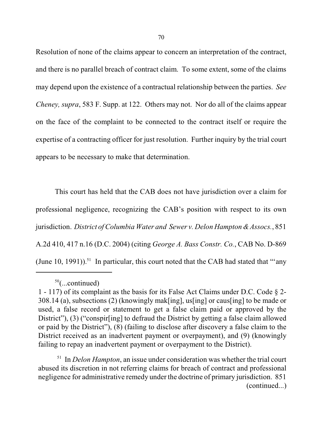Resolution of none of the claims appear to concern an interpretation of the contract, and there is no parallel breach of contract claim. To some extent, some of the claims may depend upon the existence of a contractual relationship between the parties. *See Cheney, supra*, 583 F. Supp. at 122. Others may not. Nor do all of the claims appear on the face of the complaint to be connected to the contract itself or require the expertise of a contracting officer for just resolution. Further inquiry by the trial court appears to be necessary to make that determination.

This court has held that the CAB does not have jurisdiction over a claim for professional negligence, recognizing the CAB's position with respect to its own jurisdiction. *District of Columbia Water and Sewer v. Delon Hampton &Assocs.*, 851 A.2d 410, 417 n.16 (D.C. 2004) (citing *George A. Bass Constr. Co.*, CAB No. D-869 (June 10, 1991)).<sup>51</sup> In particular, this court noted that the CAB had stated that "'any

<sup>51</sup> In *Delon Hampton*, an issue under consideration was whether the trial court abused its discretion in not referring claims for breach of contract and professional negligence for administrative remedy under the doctrine of primary jurisdiction. 851 (continued...)

 $50$ (...continued)

<sup>1 - 117)</sup> of its complaint as the basis for its False Act Claims under D.C. Code § 2- 308.14 (a), subsections (2) (knowingly mak[ing], us[ing] or caus[ing] to be made or used, a false record or statement to get a false claim paid or approved by the District"), (3) ("conspirestly" to defraud the District by getting a false claim allowed or paid by the District"), (8) (failing to disclose after discovery a false claim to the District received as an inadvertent payment or overpayment), and (9) (knowingly failing to repay an inadvertent payment or overpayment to the District).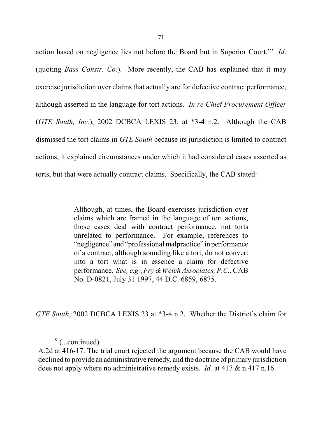action based on negligence lies not before the Board but in Superior Court.'" *Id*. (quoting *Bass Constr. Co.*). More recently, the CAB has explained that it may exercise jurisdiction over claims that actually are for defective contract performance, although asserted in the language for tort actions. *In re Chief Procurement Officer* (*GTE South, Inc.*), 2002 DCBCA LEXIS 23, at \*3-4 n.2. Although the CAB dismissed the tort claims in *GTE South* because its jurisdiction is limited to contract actions, it explained circumstances under which it had considered cases asserted as torts, but that were actually contract claims. Specifically, the CAB stated:

> Although, at times, the Board exercises jurisdiction over claims which are framed in the language of tort actions, those cases deal with contract performance, not torts unrelated to performance. For example, references to "negligence" and "professional malpractice" in performance of a contract, although sounding like a tort, do not convert into a tort what is in essence a claim for defective performance. *See, e.g., Fry & Welch Associates, P.C., CAB* No. D-0821, July 31 1997, 44 D.C. 6859, 6875.

*GTE South*, 2002 DCBCA LEXIS 23 at \*3-4 n.2. Whether the District's claim for

 $51$ (...continued)

A.2d at 416-17. The trial court rejected the argument because the CAB would have declined to provide an administrative remedy, and the doctrine of primary jurisdiction does not apply where no administrative remedy exists. *Id.* at 417 & n.417 n.16.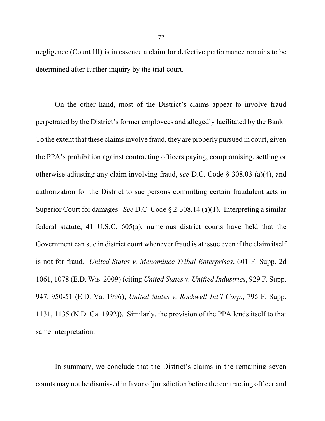negligence (Count III) is in essence a claim for defective performance remains to be determined after further inquiry by the trial court.

On the other hand, most of the District's claims appear to involve fraud perpetrated by the District's former employees and allegedly facilitated by the Bank. To the extent that these claims involve fraud, they are properly pursued in court, given the PPA's prohibition against contracting officers paying, compromising, settling or otherwise adjusting any claim involving fraud, *see* D.C. Code § 308.03 (a)(4), and authorization for the District to sue persons committing certain fraudulent acts in Superior Court for damages. *See* D.C. Code § 2-308.14 (a)(1). Interpreting a similar federal statute, 41 U.S.C. 605(a), numerous district courts have held that the Government can sue in district court whenever fraud is at issue even if the claim itself is not for fraud. *United States v. Menominee Tribal Enterprises*, 601 F. Supp. 2d 1061, 1078 (E.D. Wis. 2009) (citing *United States v. Unified Industries*, 929 F. Supp. 947, 950-51 (E.D. Va. 1996); *United States v. Rockwell Int'l Corp.*, 795 F. Supp. 1131, 1135 (N.D. Ga. 1992)). Similarly, the provision of the PPA lends itself to that same interpretation.

In summary, we conclude that the District's claims in the remaining seven counts may not be dismissed in favor of jurisdiction before the contracting officer and